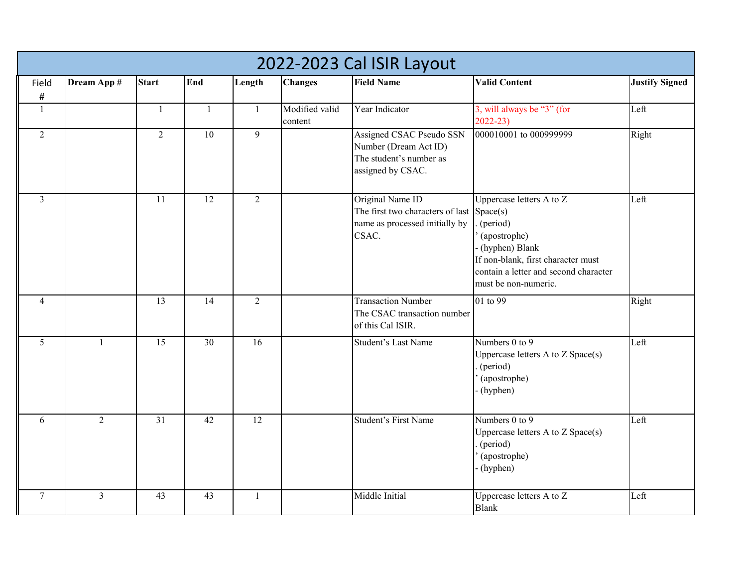| 2022-2023 Cal ISIR Layout |                |                 |                 |                |                           |                                                                                                   |                                                                                                                                                                                             |                       |  |  |
|---------------------------|----------------|-----------------|-----------------|----------------|---------------------------|---------------------------------------------------------------------------------------------------|---------------------------------------------------------------------------------------------------------------------------------------------------------------------------------------------|-----------------------|--|--|
| Field                     | Dream App #    | <b>Start</b>    | End             | Length         | <b>Changes</b>            | <b>Field Name</b>                                                                                 | <b>Valid Content</b>                                                                                                                                                                        | <b>Justify Signed</b> |  |  |
| $\#$                      |                |                 |                 |                |                           |                                                                                                   |                                                                                                                                                                                             |                       |  |  |
| -1                        |                | $\mathbf{1}$    | $\mathbf{1}$    | $\mathbf{1}$   | Modified valid<br>content | Year Indicator                                                                                    | 3, will always be "3" (for<br>$2022 - 23$                                                                                                                                                   | Left                  |  |  |
| 2                         |                | $\overline{2}$  | $\overline{10}$ | $\overline{9}$ |                           | Assigned CSAC Pseudo SSN<br>Number (Dream Act ID)<br>The student's number as<br>assigned by CSAC. | 000010001 to 000999999                                                                                                                                                                      | Right                 |  |  |
| $\mathfrak{Z}$            |                | 11              | 12              | $\overline{2}$ |                           | Original Name ID<br>The first two characters of last<br>name as processed initially by<br>CSAC.   | Uppercase letters A to Z<br>Space(s)<br>(period)<br>(apostrophe)<br>- (hyphen) Blank<br>If non-blank, first character must<br>contain a letter and second character<br>must be non-numeric. | Left                  |  |  |
| $\overline{4}$            |                | 13              | 14              | $\overline{2}$ |                           | <b>Transaction Number</b><br>The CSAC transaction number<br>of this Cal ISIR.                     | 01 to 99                                                                                                                                                                                    | Right                 |  |  |
| $5\overline{)}$           | $\mathbf{1}$   | $\overline{15}$ | $\overline{30}$ | 16             |                           | Student's Last Name                                                                               | Numbers 0 to 9<br>Uppercase letters A to Z Space(s)<br>(period)<br>(apostrophe)<br>- (hyphen)                                                                                               | Left                  |  |  |
| 6                         | $\overline{2}$ | $\overline{31}$ | 42              | 12             |                           | <b>Student's First Name</b>                                                                       | Numbers $0$ to $9$<br>Uppercase letters A to Z Space(s)<br>(period)<br>(apostrophe)<br>- (hyphen)                                                                                           | Left                  |  |  |
| $\tau$                    | $\overline{3}$ | 43              | 43              | $\mathbf{1}$   |                           | Middle Initial                                                                                    | Uppercase letters A to Z<br><b>Blank</b>                                                                                                                                                    | Left                  |  |  |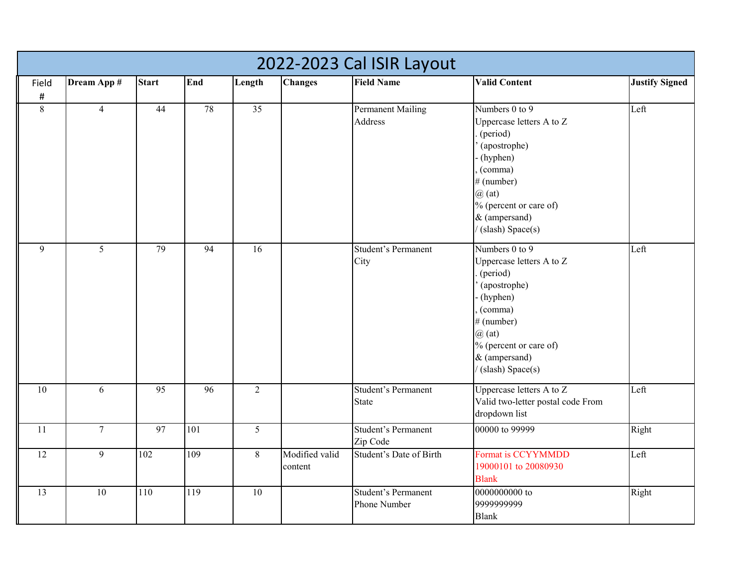|                 | 2022-2023 Cal ISIR Layout |              |                 |                 |                           |                                            |                                                                                                                                                                                                   |                       |  |  |  |  |
|-----------------|---------------------------|--------------|-----------------|-----------------|---------------------------|--------------------------------------------|---------------------------------------------------------------------------------------------------------------------------------------------------------------------------------------------------|-----------------------|--|--|--|--|
| Field           | Dream App #               | <b>Start</b> | End             | Length          | <b>Changes</b>            | <b>Field Name</b>                          | <b>Valid Content</b>                                                                                                                                                                              | <b>Justify Signed</b> |  |  |  |  |
| $\#$            |                           |              |                 |                 |                           |                                            |                                                                                                                                                                                                   |                       |  |  |  |  |
| 8               | $\overline{4}$            | 44           | 78              | $\overline{35}$ |                           | <b>Permanent Mailing</b><br>Address        | Numbers 0 to 9<br>Uppercase letters A to Z<br>(period)<br>(apostrophe)<br>(hyphen)<br>(comma)<br># (number)<br>$\omega$ (at)<br>% (percent or care of)<br>& (ampersand)<br>(slash) Space(s)       | Left                  |  |  |  |  |
| 9               | 5                         | 79           | $\overline{94}$ | 16              |                           | <b>Student's Permanent</b><br>City         | Numbers $0$ to $9$<br>Uppercase letters A to Z<br>(period)<br>(apostrophe)<br>(hyphen)<br>(comma)<br># (number)<br>$\omega$ (at)<br>$%$ (percent or care of)<br>& (ampersand)<br>(slash) Space(s) | Left                  |  |  |  |  |
| $\overline{10}$ | 6                         | 95           | $\overline{96}$ | $\overline{2}$  |                           | <b>Student's Permanent</b><br><b>State</b> | Uppercase letters A to Z<br>Valid two-letter postal code From<br>dropdown list                                                                                                                    | Left                  |  |  |  |  |
| 11              | $7\overline{ }$           | 97           | 101             | 5               |                           | <b>Student's Permanent</b><br>Zip Code     | 00000 to 99999                                                                                                                                                                                    | Right                 |  |  |  |  |
| 12              | 9                         | 102          | 109             | $8\,$           | Modified valid<br>content | Student's Date of Birth                    | Format is CCYYMMDD<br>19000101 to 20080930<br><b>Blank</b>                                                                                                                                        | Left                  |  |  |  |  |
| 13              | 10                        | 110          | 119             | 10              |                           | <b>Student's Permanent</b><br>Phone Number | 0000000000 to<br>9999999999<br><b>Blank</b>                                                                                                                                                       | Right                 |  |  |  |  |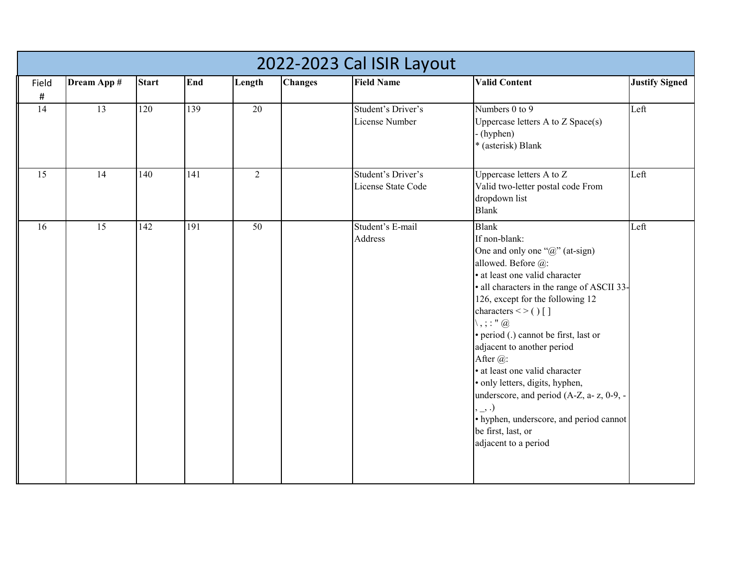|                 |                 |              |                  |                 |                | 2022-2023 Cal ISIR Layout                |                                                                                                                                                                                                                                                                                                                                                                                                                                                                                                                                                                              |                       |
|-----------------|-----------------|--------------|------------------|-----------------|----------------|------------------------------------------|------------------------------------------------------------------------------------------------------------------------------------------------------------------------------------------------------------------------------------------------------------------------------------------------------------------------------------------------------------------------------------------------------------------------------------------------------------------------------------------------------------------------------------------------------------------------------|-----------------------|
| Field<br>$\#$   | Dream App #     | <b>Start</b> | End              | Length          | <b>Changes</b> | <b>Field Name</b>                        | <b>Valid Content</b>                                                                                                                                                                                                                                                                                                                                                                                                                                                                                                                                                         | <b>Justify Signed</b> |
| 14              | 13              | 120          | 139              | 20              |                | Student's Driver's<br>License Number     | Numbers 0 to 9<br>Uppercase letters A to Z Space(s)<br>(hyphen)<br>* (asterisk) Blank                                                                                                                                                                                                                                                                                                                                                                                                                                                                                        | Left                  |
| $\overline{15}$ | 14              | 140          | $\overline{141}$ | $\overline{2}$  |                | Student's Driver's<br>License State Code | Uppercase letters A to Z<br>Valid two-letter postal code From<br>dropdown list<br><b>Blank</b>                                                                                                                                                                                                                                                                                                                                                                                                                                                                               | Left                  |
| 16              | $\overline{15}$ | 142          | 191              | $\overline{50}$ |                | Student's E-mail<br>Address              | <b>Blank</b><br>If non-blank:<br>One and only one " $@$ " (at-sign)<br>allowed. Before @:<br>· at least one valid character<br>· all characters in the range of ASCII 33-<br>126, except for the following 12<br>characters $\lt$ > () []<br>$\setminus$ , ; : " $@$<br>· period (.) cannot be first, last or<br>adjacent to another period<br>After @:<br>· at least one valid character<br>· only letters, digits, hyphen,<br>underscore, and period (A-Z, a- z, 0-9, -<br>$, \_$<br>• hyphen, underscore, and period cannot<br>be first, last, or<br>adjacent to a period | Left                  |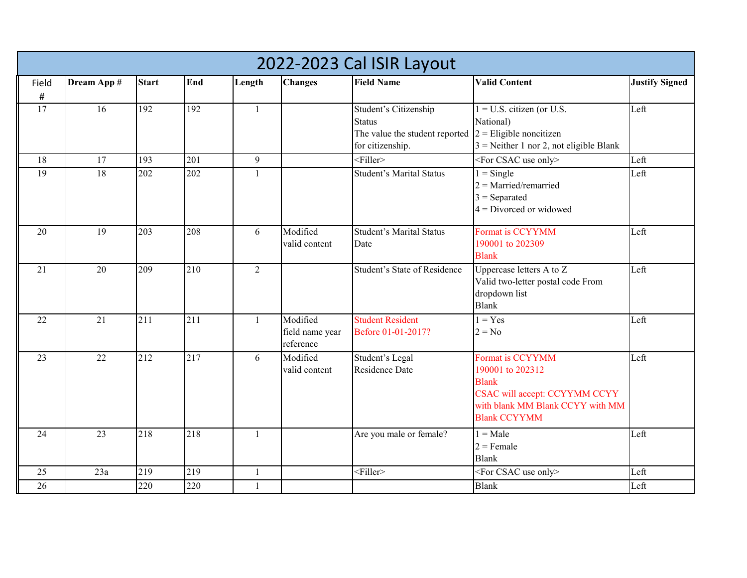|               | 2022-2023 Cal ISIR Layout |                  |     |                |                                          |                                                                                              |                                                                                                                                                  |                       |  |  |  |  |
|---------------|---------------------------|------------------|-----|----------------|------------------------------------------|----------------------------------------------------------------------------------------------|--------------------------------------------------------------------------------------------------------------------------------------------------|-----------------------|--|--|--|--|
| Field<br>$\#$ | Dream App #               | <b>Start</b>     | End | Length         | <b>Changes</b>                           | <b>Field Name</b>                                                                            | <b>Valid Content</b>                                                                                                                             | <b>Justify Signed</b> |  |  |  |  |
| 17            | 16                        | 192              | 192 | $\mathbf{1}$   |                                          | Student's Citizenship<br><b>Status</b><br>The value the student reported<br>for citizenship. | $1 = U.S.$ citizen (or U.S.<br>National)<br>$2$ = Eligible noncitizen<br>$3$ = Neither 1 nor 2, not eligible Blank                               | Left                  |  |  |  |  |
| 18            | 17                        | 193              | 201 | 9              |                                          | $<$ Filler>                                                                                  | <for csac="" only="" use=""></for>                                                                                                               | Left                  |  |  |  |  |
| 19            | 18                        | 202              | 202 | $\mathbf{1}$   |                                          | <b>Student's Marital Status</b>                                                              | $1 =$ Single<br>$2 =$ Married/remarried<br>$3 =$ Separated<br>$4 = Divored$ or widowed                                                           | Left                  |  |  |  |  |
| 20            | 19                        | 203              | 208 | 6              | Modified<br>valid content                | <b>Student's Marital Status</b><br>Date                                                      | Format is CCYYMM<br>190001 to 202309<br><b>Blank</b>                                                                                             | Left                  |  |  |  |  |
| 21            | 20                        | 209              | 210 | $\overline{2}$ |                                          | Student's State of Residence                                                                 | Uppercase letters A to Z<br>Valid two-letter postal code From<br>dropdown list<br><b>Blank</b>                                                   | Left                  |  |  |  |  |
| 22            | $\overline{21}$           | $\overline{211}$ | 211 | $\mathbf{1}$   | Modified<br>field name year<br>reference | <b>Student Resident</b><br>Before 01-01-2017?                                                | $1 = Yes$<br>$2 = No$                                                                                                                            | Left                  |  |  |  |  |
| 23            | 22                        | 212              | 217 | 6              | Modified<br>valid content                | Student's Legal<br>Residence Date                                                            | Format is CCYYMM<br>190001 to 202312<br><b>Blank</b><br>CSAC will accept: CCYYMM CCYY<br>with blank MM Blank CCYY with MM<br><b>Blank CCYYMM</b> | Left                  |  |  |  |  |
| 24            | 23                        | 218              | 218 | $\mathbf{1}$   |                                          | Are you male or female?                                                                      | $1 = Male$<br>$2$ = Female<br><b>Blank</b>                                                                                                       | Left                  |  |  |  |  |
| 25            | 23a                       | 219              | 219 | $\mathbf{1}$   |                                          | $<$ Filler $>$                                                                               | <for csac="" only="" use=""></for>                                                                                                               | Left                  |  |  |  |  |
| 26            |                           | 220              | 220 | 1              |                                          |                                                                                              | <b>Blank</b>                                                                                                                                     | Left                  |  |  |  |  |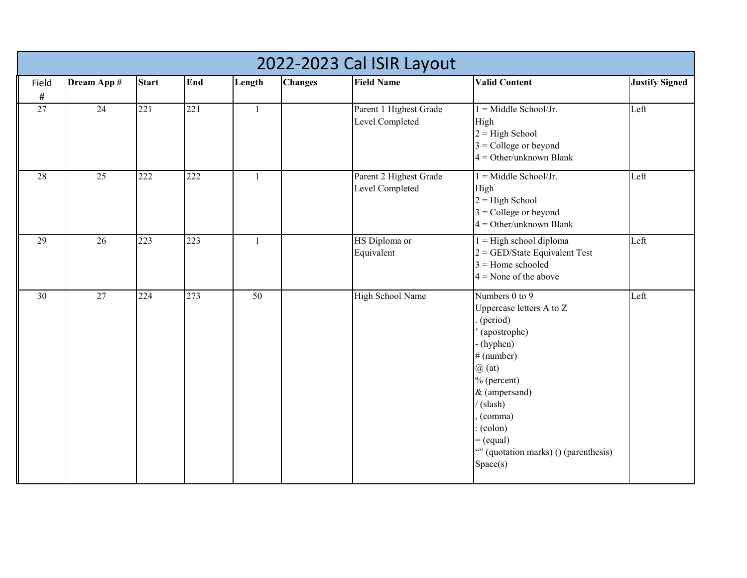|               | 2022-2023 Cal ISIR Layout |              |     |              |                |                                           |                                                                                                                                                                                                                                                          |                       |  |  |  |  |
|---------------|---------------------------|--------------|-----|--------------|----------------|-------------------------------------------|----------------------------------------------------------------------------------------------------------------------------------------------------------------------------------------------------------------------------------------------------------|-----------------------|--|--|--|--|
| Field<br>$\#$ | Dream App #               | <b>Start</b> | End | Length       | <b>Changes</b> | <b>Field Name</b>                         | <b>Valid Content</b>                                                                                                                                                                                                                                     | <b>Justify Signed</b> |  |  |  |  |
| 27            | 24                        | 221          | 221 | $\mathbf{1}$ |                | Parent 1 Highest Grade<br>Level Completed | $1 =$ Middle School/Jr.<br>High<br>$2 =$ High School<br>$3$ = College or beyond<br>$4 = Other/unknown Blank$                                                                                                                                             | Left                  |  |  |  |  |
| 28            | 25                        | 222          | 222 | $\mathbf{1}$ |                | Parent 2 Highest Grade<br>Level Completed | $1 =$ Middle School/Jr.<br>High<br>$2 =$ High School<br>$3$ = College or beyond<br>$4 = Other/unknown Blank$                                                                                                                                             | Left                  |  |  |  |  |
| 29            | $\overline{26}$           | 223          | 223 | $\mathbf{1}$ |                | HS Diploma or<br>Equivalent               | $1 =$ High school diploma<br>$2 =$ GED/State Equivalent Test<br>$3 =$ Home schooled<br>$4 =$ None of the above                                                                                                                                           | Left                  |  |  |  |  |
| 30            | 27                        | 224          | 273 | 50           |                | High School Name                          | Numbers 0 to 9<br>Uppercase letters A to Z<br>(period)<br>(apostrophe)<br>(hyphen)<br># (number)<br>$\omega$ (at)<br>$%$ (percent)<br>& (ampersand)<br>(slash)<br>(comma)<br>(colon)<br>$=$ (equal)<br>"" (quotation marks) () (parenthesis)<br>Space(s) | Left                  |  |  |  |  |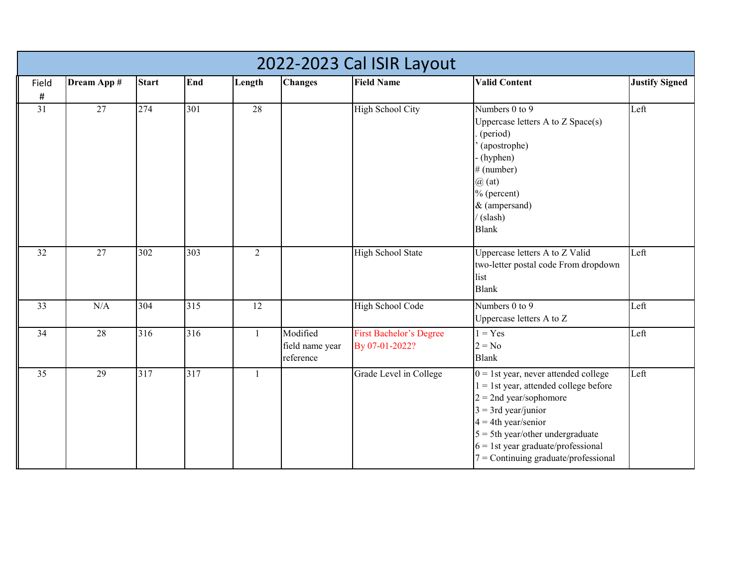|                 | 2022-2023 Cal ISIR Layout |                  |     |              |                                          |                                                  |                                                                                                                                                                                                                                                                                                |                       |  |  |  |  |
|-----------------|---------------------------|------------------|-----|--------------|------------------------------------------|--------------------------------------------------|------------------------------------------------------------------------------------------------------------------------------------------------------------------------------------------------------------------------------------------------------------------------------------------------|-----------------------|--|--|--|--|
| Field<br>$\#$   | Dream App #               | <b>Start</b>     | End | Length       | <b>Changes</b>                           | <b>Field Name</b>                                | <b>Valid Content</b>                                                                                                                                                                                                                                                                           | <b>Justify Signed</b> |  |  |  |  |
| $\overline{31}$ | 27                        | 274              | 301 | 28           |                                          | <b>High School City</b>                          | Numbers 0 to 9<br>Uppercase letters A to Z Space(s)<br>(period)<br>(apostrophe)<br>(hyphen)<br>$#$ (number)<br>$\omega$ (at)<br>% (percent)<br>& (ampersand)<br>(slash)<br><b>Blank</b>                                                                                                        | Left                  |  |  |  |  |
| 32              | 27                        | 302              | 303 | 2            |                                          | <b>High School State</b>                         | Uppercase letters A to Z Valid<br>two-letter postal code From dropdown<br>list<br><b>Blank</b>                                                                                                                                                                                                 | Left                  |  |  |  |  |
| 33              | N/A                       | 304              | 315 | 12           |                                          | High School Code                                 | Numbers 0 to 9<br>Uppercase letters A to Z                                                                                                                                                                                                                                                     | Left                  |  |  |  |  |
| 34              | 28                        | $\overline{316}$ | 316 | $\mathbf{1}$ | Modified<br>field name year<br>reference | <b>First Bachelor's Degree</b><br>By 07-01-2022? | $1 = Yes$<br>$2 = No$<br><b>Blank</b>                                                                                                                                                                                                                                                          | Left                  |  |  |  |  |
| 35              | 29                        | 317              | 317 | 1            |                                          | Grade Level in College                           | $0 = 1$ st year, never attended college<br>$1 = 1$ st year, attended college before<br>$2 = 2$ nd year/sophomore<br>$3 = 3$ rd year/junior<br>$4 = 4$ th year/senior<br>$5 = 5$ th year/other undergraduate<br>$6 = 1$ st year graduate/professional<br>$7$ = Continuing graduate/professional | Left                  |  |  |  |  |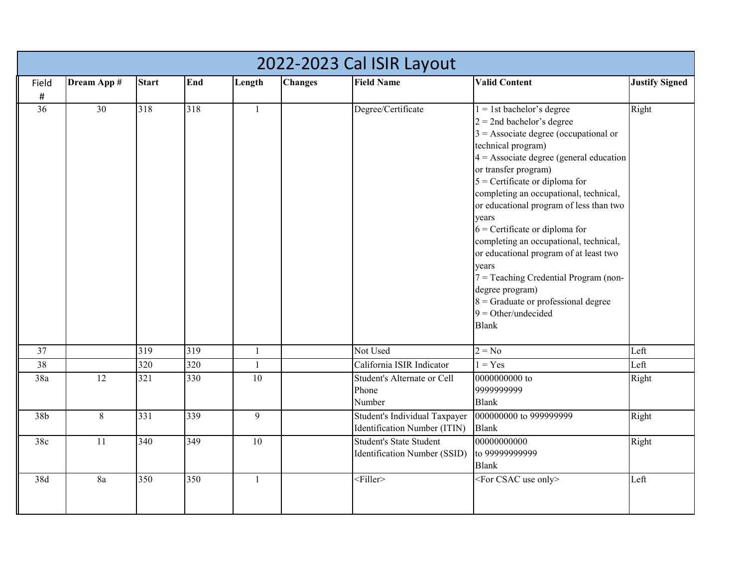|       | 2022-2023 Cal ISIR Layout |              |     |              |                |                                                                |                                                                                                                                                                                                                                                                                                                                                                                                                                                                                                                                                                                                                |                       |  |  |  |  |
|-------|---------------------------|--------------|-----|--------------|----------------|----------------------------------------------------------------|----------------------------------------------------------------------------------------------------------------------------------------------------------------------------------------------------------------------------------------------------------------------------------------------------------------------------------------------------------------------------------------------------------------------------------------------------------------------------------------------------------------------------------------------------------------------------------------------------------------|-----------------------|--|--|--|--|
| Field | Dream App #               | <b>Start</b> | End | Length       | <b>Changes</b> | <b>Field Name</b>                                              | <b>Valid Content</b>                                                                                                                                                                                                                                                                                                                                                                                                                                                                                                                                                                                           | <b>Justify Signed</b> |  |  |  |  |
| $\#$  |                           |              |     |              |                |                                                                |                                                                                                                                                                                                                                                                                                                                                                                                                                                                                                                                                                                                                |                       |  |  |  |  |
| 36    | $\overline{30}$           | 318          | 318 | $\mathbf{1}$ |                | Degree/Certificate                                             | $1 = 1$ st bachelor's degree<br>$2 = 2$ nd bachelor's degree<br>$3$ = Associate degree (occupational or<br>technical program)<br>$4 =$ Associate degree (general education<br>or transfer program)<br>$5$ = Certificate or diploma for<br>completing an occupational, technical,<br>or educational program of less than two<br>years<br>$6$ = Certificate or diploma for<br>completing an occupational, technical,<br>or educational program of at least two<br>years<br>$7 =$ Teaching Credential Program (non-<br>degree program)<br>$8$ = Graduate or professional degree<br>$9 = Other/undecided$<br>Blank | Right                 |  |  |  |  |
| 37    |                           | 319          | 319 | $\mathbf{1}$ |                | Not Used                                                       | $2 = No$                                                                                                                                                                                                                                                                                                                                                                                                                                                                                                                                                                                                       | Left                  |  |  |  |  |
| 38    |                           | 320          | 320 | $\mathbf{1}$ |                | California ISIR Indicator                                      | $1 = Yes$                                                                                                                                                                                                                                                                                                                                                                                                                                                                                                                                                                                                      | Left                  |  |  |  |  |
| 38a   | 12                        | 321          | 330 | 10           |                | Student's Alternate or Cell<br>Phone<br>Number                 | 0000000000 to<br>9999999999<br><b>Blank</b>                                                                                                                                                                                                                                                                                                                                                                                                                                                                                                                                                                    | Right                 |  |  |  |  |
| 38b   | $8\phantom{.}$            | 331          | 339 | 9            |                | Student's Individual Taxpayer<br>Identification Number (ITIN)  | 000000000 to 999999999<br><b>Blank</b>                                                                                                                                                                                                                                                                                                                                                                                                                                                                                                                                                                         | Right                 |  |  |  |  |
| 38c   | 11                        | 340          | 349 | 10           |                | <b>Student's State Student</b><br>Identification Number (SSID) | 00000000000<br>to 99999999999<br><b>Blank</b>                                                                                                                                                                                                                                                                                                                                                                                                                                                                                                                                                                  | Right                 |  |  |  |  |
| 38d   | 8a                        | 350          | 350 | $\mathbf{1}$ |                | <filler></filler>                                              | <for csac="" only="" use=""></for>                                                                                                                                                                                                                                                                                                                                                                                                                                                                                                                                                                             | Left                  |  |  |  |  |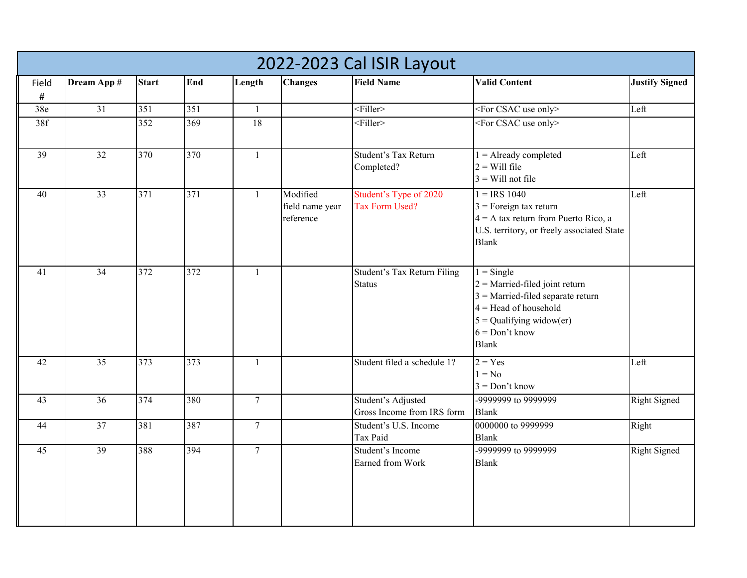|                 | 2022-2023 Cal ISIR Layout |              |     |                  |                                          |                                                  |                                                                                                                                                                                      |                       |  |  |  |  |
|-----------------|---------------------------|--------------|-----|------------------|------------------------------------------|--------------------------------------------------|--------------------------------------------------------------------------------------------------------------------------------------------------------------------------------------|-----------------------|--|--|--|--|
| Field           | Dream App #               | <b>Start</b> | End | Length           | <b>Changes</b>                           | <b>Field Name</b>                                | <b>Valid Content</b>                                                                                                                                                                 | <b>Justify Signed</b> |  |  |  |  |
| $\#$            |                           |              |     |                  |                                          |                                                  |                                                                                                                                                                                      |                       |  |  |  |  |
| 38e             | 31                        | 351          | 351 | $\mathbf{1}$     |                                          | $<$ Filler>                                      | <for csac="" only="" use=""></for>                                                                                                                                                   | Left                  |  |  |  |  |
| 38f             |                           | 352          | 369 | 18               |                                          | <filler></filler>                                | <for csac="" only="" use=""></for>                                                                                                                                                   |                       |  |  |  |  |
| $\overline{39}$ | $\overline{32}$           | 370          | 370 | $\mathbf{1}$     |                                          | Student's Tax Return<br>Completed?               | $1 =$ Already completed<br>$2 =$ Will file<br>$3$ = Will not file                                                                                                                    | Left                  |  |  |  |  |
| 40              | 33                        | 371          | 371 | $\mathbf{1}$     | Modified<br>field name year<br>reference | Student's Type of 2020<br>Tax Form Used?         | $1 = IRS 1040$<br>$3$ = Foreign tax return<br>$4 = A$ tax return from Puerto Rico, a<br>U.S. territory, or freely associated State<br><b>Blank</b>                                   | Left                  |  |  |  |  |
| 41              | 34                        | 372          | 372 | $\mathbf{1}$     |                                          | Student's Tax Return Filing<br><b>Status</b>     | $1 =$ Single<br>$2$ = Married-filed joint return<br>$3$ = Married-filed separate return<br>$4 =$ Head of household<br>$5 =$ Qualifying widow(er)<br>$6 = Don't know$<br><b>Blank</b> |                       |  |  |  |  |
| 42              | 35                        | 373          | 373 | $\mathbf{1}$     |                                          | Student filed a schedule 1?                      | $2 = Yes$<br>$1 = No$<br>$3 = Don't know$                                                                                                                                            | Left                  |  |  |  |  |
| 43              | 36                        | 374          | 380 | $\tau$           |                                          | Student's Adjusted<br>Gross Income from IRS form | -9999999 to 9999999<br><b>Blank</b>                                                                                                                                                  | <b>Right Signed</b>   |  |  |  |  |
| 44              | 37                        | 381          | 387 | $\boldsymbol{7}$ |                                          | Student's U.S. Income<br>Tax Paid                | 0000000 to 9999999<br><b>Blank</b>                                                                                                                                                   | Right                 |  |  |  |  |
| 45              | 39                        | 388          | 394 | $\tau$           |                                          | Student's Income<br>Earned from Work             | -9999999 to 9999999<br><b>Blank</b>                                                                                                                                                  | <b>Right Signed</b>   |  |  |  |  |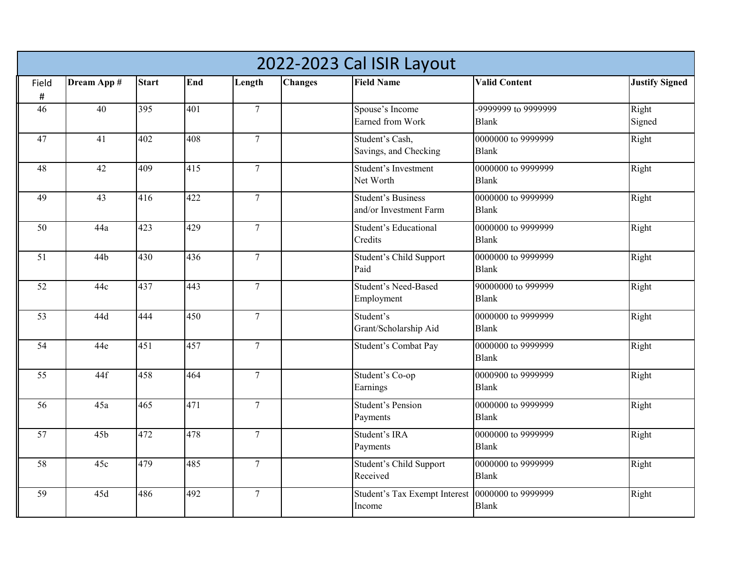|                 | 2022-2023 Cal ISIR Layout |              |     |                  |                |                                                     |                                     |                       |  |  |  |
|-----------------|---------------------------|--------------|-----|------------------|----------------|-----------------------------------------------------|-------------------------------------|-----------------------|--|--|--|
| Field           | Dream App #               | <b>Start</b> | End | Length           | <b>Changes</b> | <b>Field Name</b>                                   | <b>Valid Content</b>                | <b>Justify Signed</b> |  |  |  |
| $\#$            |                           |              |     |                  |                |                                                     |                                     |                       |  |  |  |
| 46              | 40                        | 395          | 401 | $\overline{7}$   |                | Spouse's Income<br>Earned from Work                 | -9999999 to 9999999<br><b>Blank</b> | Right<br>Signed       |  |  |  |
| 47              | 41                        | 402          | 408 | $7\phantom{.0}$  |                | Student's Cash,<br>Savings, and Checking            | 0000000 to 9999999<br><b>Blank</b>  | Right                 |  |  |  |
| 48              | 42                        | 409          | 415 | $\boldsymbol{7}$ |                | Student's Investment<br>Net Worth                   | 0000000 to 9999999<br><b>Blank</b>  | Right                 |  |  |  |
| 49              | 43                        | 416          | 422 | $\tau$           |                | <b>Student's Business</b><br>and/or Investment Farm | 0000000 to 9999999<br><b>Blank</b>  | Right                 |  |  |  |
| 50              | 44a                       | 423          | 429 | $\overline{7}$   |                | Student's Educational<br>Credits                    | 0000000 to 9999999<br><b>Blank</b>  | Right                 |  |  |  |
| 51              | 44b                       | 430          | 436 | $\tau$           |                | Student's Child Support<br>Paid                     | 0000000 to 9999999<br><b>Blank</b>  | Right                 |  |  |  |
| 52              | 44c                       | 437          | 443 | $\overline{7}$   |                | Student's Need-Based<br>Employment                  | 90000000 to 999999<br><b>Blank</b>  | Right                 |  |  |  |
| 53              | 44d                       | 444          | 450 | $\overline{7}$   |                | Student's<br>Grant/Scholarship Aid                  | 0000000 to 9999999<br><b>Blank</b>  | Right                 |  |  |  |
| $\overline{54}$ | 44e                       | 451          | 457 | $\overline{7}$   |                | Student's Combat Pay                                | 0000000 to 9999999<br><b>Blank</b>  | Right                 |  |  |  |
| 55              | 44f                       | 458          | 464 | $\overline{7}$   |                | Student's Co-op<br>Earnings                         | 0000900 to 9999999<br><b>Blank</b>  | Right                 |  |  |  |
| $\overline{56}$ | 45a                       | 465          | 471 | $\overline{7}$   |                | <b>Student's Pension</b><br>Payments                | 0000000 to 9999999<br><b>Blank</b>  | Right                 |  |  |  |
| 57              | 45 <sub>b</sub>           | 472          | 478 | $\overline{7}$   |                | Student's IRA<br>Payments                           | 0000000 to 9999999<br><b>Blank</b>  | Right                 |  |  |  |
| $\overline{58}$ | 45c                       | 479          | 485 | $\tau$           |                | Student's Child Support<br>Received                 | 0000000 to 9999999<br><b>Blank</b>  | Right                 |  |  |  |
| 59              | 45d                       | 486          | 492 | $\tau$           |                | Student's Tax Exempt Interest<br>Income             | 0000000 to 9999999<br><b>Blank</b>  | Right                 |  |  |  |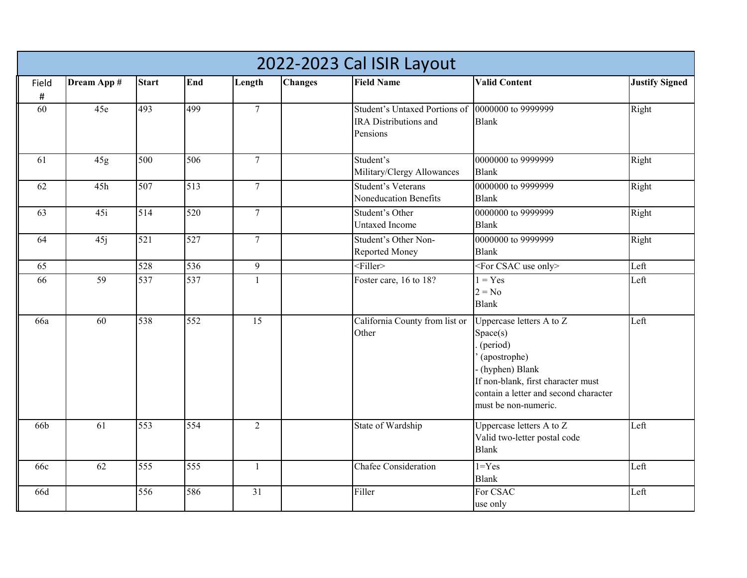|       | 2022-2023 Cal ISIR Layout |              |     |                  |                |                                                                    |                                                                                                                                                                                           |                       |  |  |  |
|-------|---------------------------|--------------|-----|------------------|----------------|--------------------------------------------------------------------|-------------------------------------------------------------------------------------------------------------------------------------------------------------------------------------------|-----------------------|--|--|--|
| Field | Dream App #               | <b>Start</b> | End | Length           | <b>Changes</b> | <b>Field Name</b>                                                  | <b>Valid Content</b>                                                                                                                                                                      | <b>Justify Signed</b> |  |  |  |
| #     |                           |              |     |                  |                |                                                                    |                                                                                                                                                                                           |                       |  |  |  |
| 60    | 45e                       | 493          | 499 | $\overline{7}$   |                | Student's Untaxed Portions of<br>IRA Distributions and<br>Pensions | 0000000 to 9999999<br><b>Blank</b>                                                                                                                                                        | Right                 |  |  |  |
| 61    | 45g                       | 500          | 506 | $\tau$           |                | Student's<br>Military/Clergy Allowances                            | 0000000 to 9999999<br><b>Blank</b>                                                                                                                                                        | Right                 |  |  |  |
| 62    | 45h                       | 507          | 513 | $\boldsymbol{7}$ |                | Student's Veterans<br>Noneducation Benefits                        | 0000000 to 9999999<br><b>Blank</b>                                                                                                                                                        | Right                 |  |  |  |
| 63    | 45i                       | 514          | 520 | $\tau$           |                | Student's Other<br><b>Untaxed Income</b>                           | 0000000 to 9999999<br><b>Blank</b>                                                                                                                                                        | Right                 |  |  |  |
| 64    | 45j                       | 521          | 527 | $\tau$           |                | Student's Other Non-<br>Reported Money                             | 0000000 to 9999999<br><b>Blank</b>                                                                                                                                                        | Right                 |  |  |  |
| 65    |                           | 528          | 536 | $\overline{9}$   |                | $<$ Filler>                                                        | <for csac="" only="" use=""></for>                                                                                                                                                        | Left                  |  |  |  |
| 66    | $\overline{59}$           | 537          | 537 | $\mathbf{1}$     |                | Foster care, 16 to 18?                                             | $1 = Yes$<br>$2 = No$<br><b>Blank</b>                                                                                                                                                     | Left                  |  |  |  |
| 66a   | 60                        | 538          | 552 | 15               |                | California County from list or<br>Other                            | Uppercase letters A to Z<br>Space(s)<br>(period)<br>(apostrophe)<br>(hyphen) Blank<br>If non-blank, first character must<br>contain a letter and second character<br>must be non-numeric. | Left                  |  |  |  |
| 66b   | 61                        | 553          | 554 | $\overline{2}$   |                | State of Wardship                                                  | Uppercase letters A to Z<br>Valid two-letter postal code<br><b>Blank</b>                                                                                                                  | Left                  |  |  |  |
| 66c   | $\overline{62}$           | 555          | 555 | $\mathbf{1}$     |                | Chafee Consideration                                               | $1 = Yes$<br><b>Blank</b>                                                                                                                                                                 | Left                  |  |  |  |
| 66d   |                           | 556          | 586 | 31               |                | Filler                                                             | For CSAC<br>use only                                                                                                                                                                      | Left                  |  |  |  |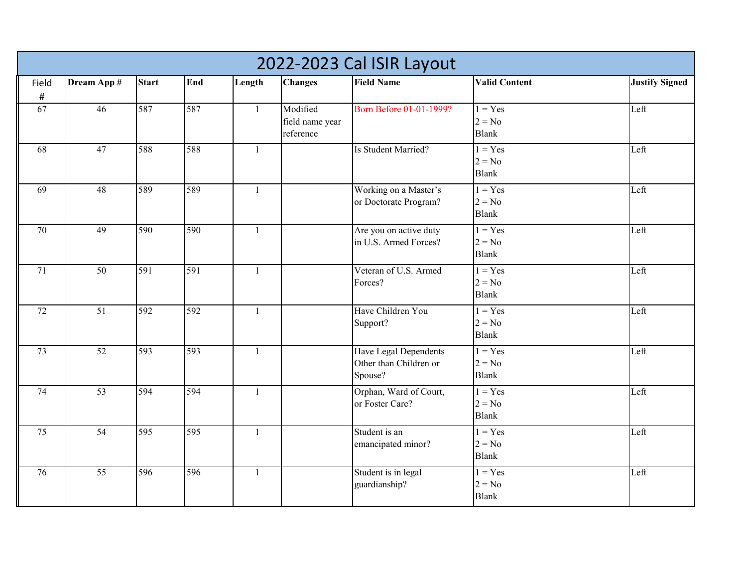|                 | 2022-2023 Cal ISIR Layout |              |     |              |                                          |                                                            |                                       |                       |  |  |  |
|-----------------|---------------------------|--------------|-----|--------------|------------------------------------------|------------------------------------------------------------|---------------------------------------|-----------------------|--|--|--|
| Field<br>#      | Dream App #               | <b>Start</b> | End | Length       | <b>Changes</b>                           | <b>Field Name</b>                                          | <b>Valid Content</b>                  | <b>Justify Signed</b> |  |  |  |
| 67              | 46                        | 587          | 587 | $\mathbf{1}$ | Modified<br>field name year<br>reference | Born Before 01-01-1999?                                    | $1 = Yes$<br>$2 = No$<br><b>Blank</b> | Left                  |  |  |  |
| 68              | 47                        | 588          | 588 | $\mathbf{1}$ |                                          | Is Student Married?                                        | $1 = Yes$<br>$2 = No$<br><b>Blank</b> | Left                  |  |  |  |
| 69              | 48                        | 589          | 589 | $\mathbf{1}$ |                                          | Working on a Master's<br>or Doctorate Program?             | $1 = Yes$<br>$2 = No$<br><b>Blank</b> | Left                  |  |  |  |
| 70              | 49                        | 590          | 590 | $\mathbf{1}$ |                                          | Are you on active duty<br>in U.S. Armed Forces?            | $1 = Yes$<br>$2 = No$<br><b>Blank</b> | Left                  |  |  |  |
| 71              | 50                        | 591          | 591 | $\mathbf{1}$ |                                          | Veteran of U.S. Armed<br>Forces?                           | $1 = Yes$<br>$2 = No$<br><b>Blank</b> | Left                  |  |  |  |
| 72              | 51                        | 592          | 592 | $\mathbf{1}$ |                                          | Have Children You<br>Support?                              | $1 = Yes$<br>$2 = No$<br><b>Blank</b> | Left                  |  |  |  |
| 73              | 52                        | 593          | 593 | $\mathbf{1}$ |                                          | Have Legal Dependents<br>Other than Children or<br>Spouse? | $1 = Yes$<br>$2 = No$<br><b>Blank</b> | Left                  |  |  |  |
| 74              | $\overline{53}$           | 594          | 594 | $\mathbf{1}$ |                                          | Orphan, Ward of Court,<br>or Foster Care?                  | $1 = Yes$<br>$2 = No$<br><b>Blank</b> | Left                  |  |  |  |
| $\overline{75}$ | $\overline{54}$           | 595          | 595 | $\mathbf{1}$ |                                          | Student is an<br>emancipated minor?                        | $1 = Yes$<br>$2 = No$<br><b>Blank</b> | Left                  |  |  |  |
| 76              | 55                        | 596          | 596 | 1            |                                          | Student is in legal<br>guardianship?                       | $1 = Yes$<br>$2 = No$<br><b>Blank</b> | Left                  |  |  |  |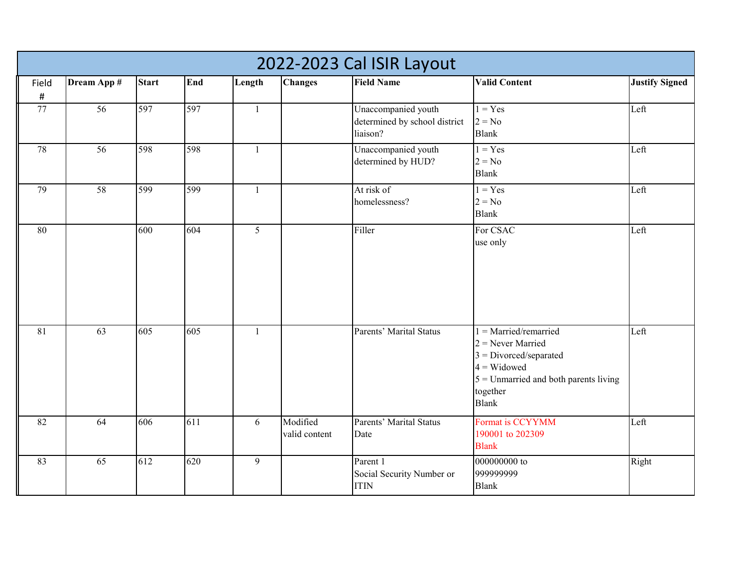|                   | 2022-2023 Cal ISIR Layout |              |     |                 |                           |                                                                  |                                                                                                                                                                   |                       |  |  |  |
|-------------------|---------------------------|--------------|-----|-----------------|---------------------------|------------------------------------------------------------------|-------------------------------------------------------------------------------------------------------------------------------------------------------------------|-----------------------|--|--|--|
| Field<br>$\sharp$ | Dream App #               | <b>Start</b> | End | Length          | <b>Changes</b>            | <b>Field Name</b>                                                | <b>Valid Content</b>                                                                                                                                              | <b>Justify Signed</b> |  |  |  |
| 77                | 56                        | 597          | 597 | $\mathbf{1}$    |                           | Unaccompanied youth<br>determined by school district<br>liaison? | $1 = Yes$<br>$2 = No$<br><b>Blank</b>                                                                                                                             | Left                  |  |  |  |
| 78                | 56                        | 598          | 598 | $\mathbf{1}$    |                           | Unaccompanied youth<br>determined by HUD?                        | $1 = Yes$<br>$2 = No$<br><b>Blank</b>                                                                                                                             | Left                  |  |  |  |
| 79                | 58                        | 599          | 599 | $\mathbf{1}$    |                           | At risk of<br>homelessness?                                      | $1 = Yes$<br>$2 = No$<br><b>Blank</b>                                                                                                                             | Left                  |  |  |  |
| 80                |                           | 600          | 604 | $5\overline{)}$ |                           | Filler                                                           | For CSAC<br>use only                                                                                                                                              | Left                  |  |  |  |
| 81                | 63                        | 605          | 605 | $\mathbf{1}$    |                           | Parents' Marital Status                                          | $1 =$ Married/remarried<br>$2$ = Never Married<br>$3 = Divored/separated$<br>$4$ = Widowed<br>$5 =$ Unmarried and both parents living<br>together<br><b>Blank</b> | Left                  |  |  |  |
| 82                | 64                        | 606          | 611 | 6               | Modified<br>valid content | Parents' Marital Status<br>Date                                  | Format is CCYYMM<br>190001 to 202309<br><b>Blank</b>                                                                                                              | Left                  |  |  |  |
| 83                | 65                        | 612          | 620 | 9               |                           | Parent 1<br>Social Security Number or<br>$\text{ITIN}{}$         | 000000000 to<br>999999999<br><b>Blank</b>                                                                                                                         | Right                 |  |  |  |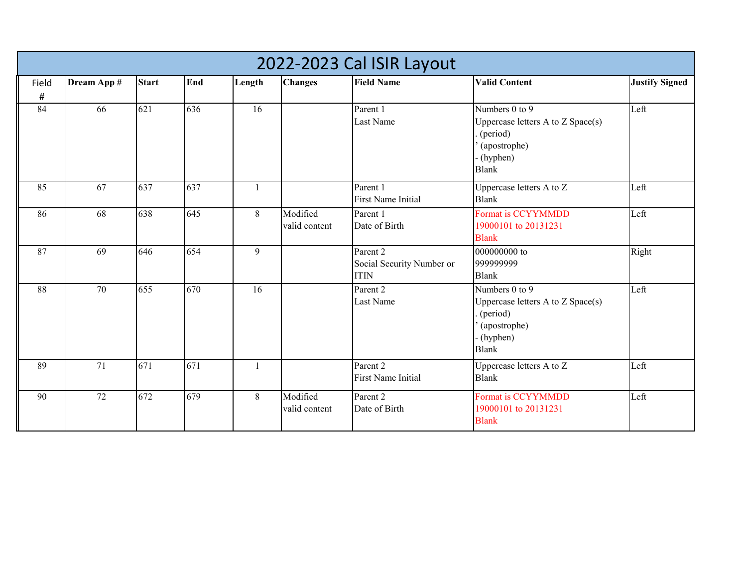|             | 2022-2023 Cal ISIR Layout |              |     |              |                           |                                                      |                                                                                                             |                       |  |  |  |  |
|-------------|---------------------------|--------------|-----|--------------|---------------------------|------------------------------------------------------|-------------------------------------------------------------------------------------------------------------|-----------------------|--|--|--|--|
| Field<br>Ħ, | Dream App #               | <b>Start</b> | End | Length       | <b>Changes</b>            | <b>Field Name</b>                                    | <b>Valid Content</b>                                                                                        | <b>Justify Signed</b> |  |  |  |  |
| 84          | 66                        | 621          | 636 | 16           |                           | Parent 1<br>Last Name                                | Numbers 0 to 9<br>Uppercase letters A to Z Space(s)<br>(period)<br>(apostrophe)<br>(hyphen)<br><b>Blank</b> | Left                  |  |  |  |  |
| 85          | 67                        | 637          | 637 | $\mathbf{1}$ |                           | Parent 1<br><b>First Name Initial</b>                | Uppercase letters A to Z<br><b>Blank</b>                                                                    | Left                  |  |  |  |  |
| 86          | 68                        | 638          | 645 | 8            | Modified<br>valid content | Parent 1<br>Date of Birth                            | Format is CCYYMMDD<br>19000101 to 20131231<br><b>Blank</b>                                                  | Left                  |  |  |  |  |
| 87          | 69                        | 646          | 654 | 9            |                           | Parent 2<br>Social Security Number or<br><b>ITIN</b> | 000000000 to<br>999999999<br><b>Blank</b>                                                                   | Right                 |  |  |  |  |
| 88          | 70                        | 655          | 670 | 16           |                           | Parent 2<br>Last Name                                | Numbers 0 to 9<br>Uppercase letters A to Z Space(s)<br>(period)<br>(apostrophe)<br>(hyphen)<br><b>Blank</b> | Left                  |  |  |  |  |
| 89          | 71                        | 671          | 671 | -1           |                           | Parent 2<br><b>First Name Initial</b>                | Uppercase letters A to Z<br><b>Blank</b>                                                                    | Left                  |  |  |  |  |
| 90          | 72                        | 672          | 679 | 8            | Modified<br>valid content | Parent 2<br>Date of Birth                            | Format is CCYYMMDD<br>19000101 to 20131231<br><b>Blank</b>                                                  | Left                  |  |  |  |  |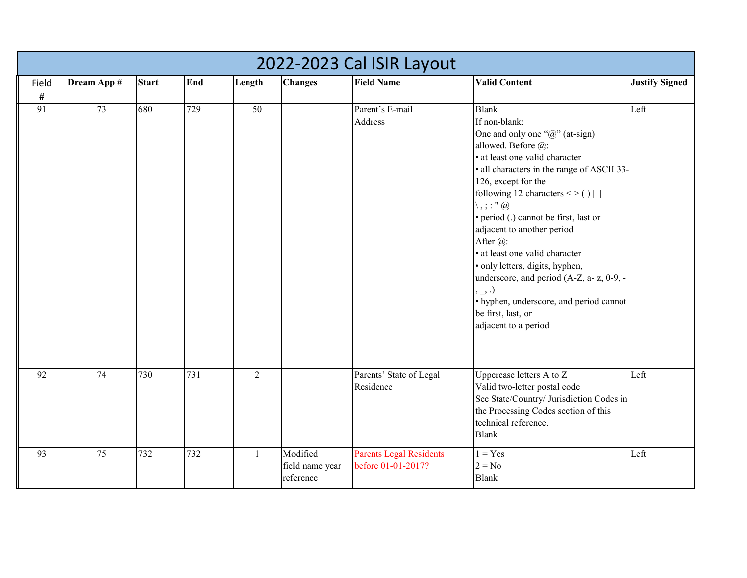|                 | 2022-2023 Cal ISIR Layout |              |     |              |                                          |                                                      |                                                                                                                                                                                                                                                                                                                                                                                                                                                                                                                                                                                                                            |                       |  |  |  |  |
|-----------------|---------------------------|--------------|-----|--------------|------------------------------------------|------------------------------------------------------|----------------------------------------------------------------------------------------------------------------------------------------------------------------------------------------------------------------------------------------------------------------------------------------------------------------------------------------------------------------------------------------------------------------------------------------------------------------------------------------------------------------------------------------------------------------------------------------------------------------------------|-----------------------|--|--|--|--|
| Field<br>#      | Dream App #               | <b>Start</b> | End | Length       | <b>Changes</b>                           | <b>Field Name</b>                                    | <b>Valid Content</b>                                                                                                                                                                                                                                                                                                                                                                                                                                                                                                                                                                                                       | <b>Justify Signed</b> |  |  |  |  |
| $\overline{91}$ | 73                        | 680          | 729 | 50           |                                          | Parent's E-mail<br>Address                           | <b>Blank</b><br>If non-blank:<br>One and only one " $@$ " (at-sign)<br>allowed. Before @:<br>· at least one valid character<br>· all characters in the range of ASCII 33-<br>126, except for the<br>following 12 characters < > $( )$ []<br>$\setminus$ , ; : " $\omega$<br>· period (.) cannot be first, last or<br>adjacent to another period<br>After $(a)$ :<br>· at least one valid character<br>· only letters, digits, hyphen,<br>underscore, and period (A-Z, a- z, 0-9, -<br>$, \underline{\hphantom{A}}, \hphantom{A})$<br>· hyphen, underscore, and period cannot<br>be first, last, or<br>adjacent to a period | Left                  |  |  |  |  |
| 92              | 74                        | 730          | 731 | 2            |                                          | Parents' State of Legal<br>Residence                 | Uppercase letters A to Z<br>Valid two-letter postal code<br>See State/Country/ Jurisdiction Codes in<br>the Processing Codes section of this<br>technical reference.<br><b>Blank</b>                                                                                                                                                                                                                                                                                                                                                                                                                                       | Left                  |  |  |  |  |
| 93              | 75                        | 732          | 732 | $\mathbf{1}$ | Modified<br>field name year<br>reference | <b>Parents Legal Residents</b><br>before 01-01-2017? | $1 = Yes$<br>$2 = No$<br><b>Blank</b>                                                                                                                                                                                                                                                                                                                                                                                                                                                                                                                                                                                      | Left                  |  |  |  |  |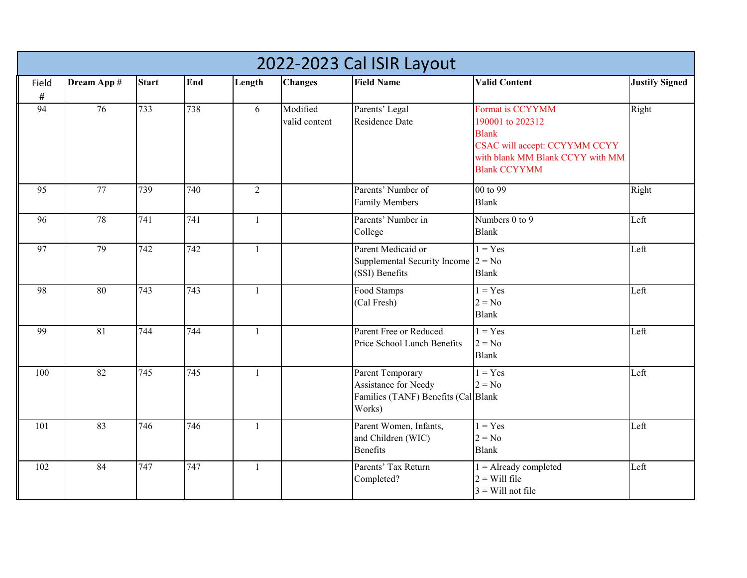|            | 2022-2023 Cal ISIR Layout |                  |     |                |                           |                                                                                           |                                                                                                                                                  |                       |  |  |  |  |
|------------|---------------------------|------------------|-----|----------------|---------------------------|-------------------------------------------------------------------------------------------|--------------------------------------------------------------------------------------------------------------------------------------------------|-----------------------|--|--|--|--|
| Field<br># | Dream App #               | <b>Start</b>     | End | Length         | <b>Changes</b>            | <b>Field Name</b>                                                                         | <b>Valid Content</b>                                                                                                                             | <b>Justify Signed</b> |  |  |  |  |
| 94         | 76                        | 733              | 738 | 6              | Modified<br>valid content | Parents' Legal<br><b>Residence Date</b>                                                   | Format is CCYYMM<br>190001 to 202312<br><b>Blank</b><br>CSAC will accept: CCYYMM CCYY<br>with blank MM Blank CCYY with MM<br><b>Blank CCYYMM</b> | Right                 |  |  |  |  |
| 95         | 77                        | 739              | 740 | $\overline{2}$ |                           | Parents' Number of<br><b>Family Members</b>                                               | 00 to 99<br><b>Blank</b>                                                                                                                         | Right                 |  |  |  |  |
| 96         | 78                        | 741              | 741 | $\mathbf{1}$   |                           | Parents' Number in<br>College                                                             | Numbers 0 to 9<br><b>Blank</b>                                                                                                                   | Left                  |  |  |  |  |
| 97         | 79                        | 742              | 742 | $\mathbf{1}$   |                           | Parent Medicaid or<br>Supplemental Security Income $2 = No$<br>(SSI) Benefits             | $1 = Yes$<br><b>Blank</b>                                                                                                                        | Left                  |  |  |  |  |
| 98         | 80                        | 743              | 743 | 1              |                           | Food Stamps<br>(Cal Fresh)                                                                | $1 = Yes$<br>$2 = No$<br><b>Blank</b>                                                                                                            | Left                  |  |  |  |  |
| 99         | $\overline{81}$           | 744              | 744 | $\mathbf{1}$   |                           | Parent Free or Reduced<br>Price School Lunch Benefits                                     | $1 = Yes$<br>$2 = No$<br><b>Blank</b>                                                                                                            | Left                  |  |  |  |  |
| 100        | $\overline{82}$           | $\overline{745}$ | 745 | $\mathbf{1}$   |                           | Parent Temporary<br>Assistance for Needy<br>Families (TANF) Benefits (Cal Blank<br>Works) | $1 = Yes$<br>$2 = No$                                                                                                                            | Left                  |  |  |  |  |
| 101        | 83                        | 746              | 746 | $\mathbf{1}$   |                           | Parent Women, Infants,<br>and Children (WIC)<br><b>Benefits</b>                           | $1 = Yes$<br>$2 = No$<br><b>Blank</b>                                                                                                            | Left                  |  |  |  |  |
| 102        | 84                        | 747              | 747 | $\mathbf{1}$   |                           | Parents' Tax Return<br>Completed?                                                         | $1 =$ Already completed<br>$2 =$ Will file<br>$3$ = Will not file                                                                                | Left                  |  |  |  |  |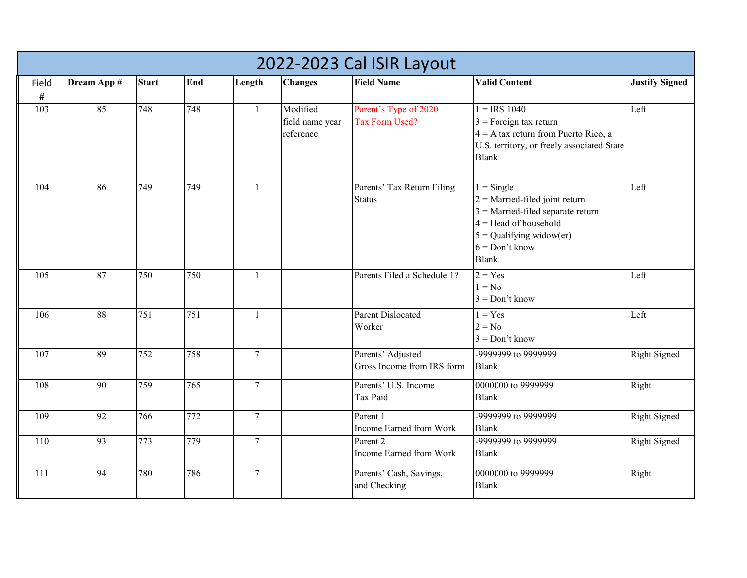|               | 2022-2023 Cal ISIR Layout |                  |     |                |                                          |                                                 |                                                                                                                                                                                      |                       |  |  |  |  |
|---------------|---------------------------|------------------|-----|----------------|------------------------------------------|-------------------------------------------------|--------------------------------------------------------------------------------------------------------------------------------------------------------------------------------------|-----------------------|--|--|--|--|
| Field<br>$\#$ | Dream App #               | <b>Start</b>     | End | Length         | <b>Changes</b>                           | <b>Field Name</b>                               | <b>Valid Content</b>                                                                                                                                                                 | <b>Justify Signed</b> |  |  |  |  |
| 103           | 85                        | 748              | 748 | $\mathbf{1}$   | Modified<br>field name year<br>reference | Parent's Type of 2020<br>Tax Form Used?         | $1 = IRS$ 1040<br>$3$ = Foreign tax return<br>$4 = A$ tax return from Puerto Rico, a<br>U.S. territory, or freely associated State<br><b>Blank</b>                                   | Left                  |  |  |  |  |
| 104           | 86                        | 749              | 749 | $\mathbf{1}$   |                                          | Parents' Tax Return Filing<br><b>Status</b>     | $1 =$ Single<br>$2$ = Married-filed joint return<br>$3$ = Married-filed separate return<br>$4 =$ Head of household<br>$5 =$ Qualifying widow(er)<br>$6 = Don't know$<br><b>Blank</b> | Left                  |  |  |  |  |
| 105           | 87                        | 750              | 750 | $\mathbf{1}$   |                                          | Parents Filed a Schedule 1?                     | $2 = Yes$<br>$1 = No$<br>$3 = Don't know$                                                                                                                                            | Left                  |  |  |  |  |
| 106           | 88                        | $\overline{751}$ | 751 | $\mathbf{1}$   |                                          | <b>Parent Dislocated</b><br>Worker              | $1 = Yes$<br>$2 = No$<br>$3 = Don't know$                                                                                                                                            | Left                  |  |  |  |  |
| 107           | 89                        | $\overline{752}$ | 758 | $\overline{7}$ |                                          | Parents' Adjusted<br>Gross Income from IRS form | -9999999 to 9999999<br><b>Blank</b>                                                                                                                                                  | <b>Right Signed</b>   |  |  |  |  |
| 108           | 90                        | 759              | 765 | $\overline{7}$ |                                          | Parents' U.S. Income<br>Tax Paid                | 0000000 to 9999999<br><b>Blank</b>                                                                                                                                                   | Right                 |  |  |  |  |
| 109           | $\overline{92}$           | 766              | 772 | $\overline{7}$ |                                          | Parent 1<br>Income Earned from Work             | -9999999 to 9999999<br><b>Blank</b>                                                                                                                                                  | <b>Right Signed</b>   |  |  |  |  |
| 110           | 93                        | 773              | 779 | $\overline{7}$ |                                          | Parent 2<br>Income Earned from Work             | -9999999 to 9999999<br><b>Blank</b>                                                                                                                                                  | <b>Right Signed</b>   |  |  |  |  |
| 111           | 94                        | 780              | 786 | $\tau$         |                                          | Parents' Cash, Savings,<br>and Checking         | 0000000 to 9999999<br><b>Blank</b>                                                                                                                                                   | Right                 |  |  |  |  |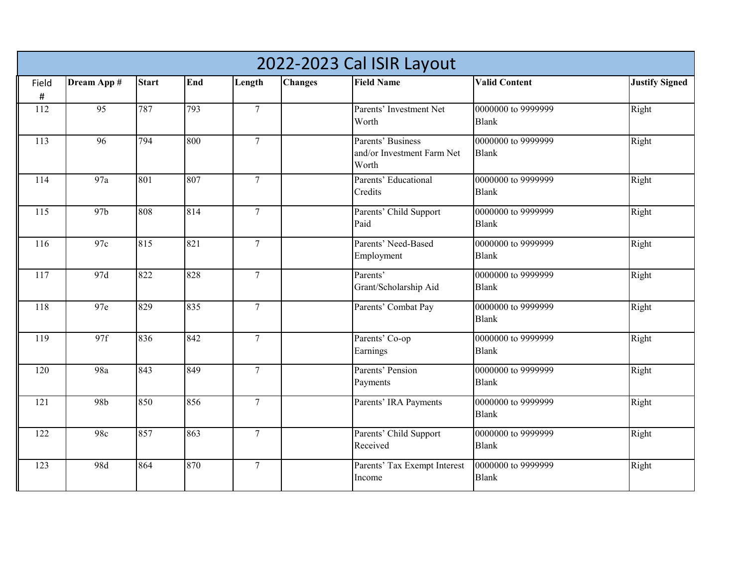| 2022-2023 Cal ISIR Layout |                 |              |     |                 |                |                                                          |                                    |                       |  |  |
|---------------------------|-----------------|--------------|-----|-----------------|----------------|----------------------------------------------------------|------------------------------------|-----------------------|--|--|
| Field<br>$\#$             | Dream App #     | <b>Start</b> | End | Length          | <b>Changes</b> | <b>Field Name</b>                                        | <b>Valid Content</b>               | <b>Justify Signed</b> |  |  |
| 112                       | 95              | 787          | 793 | $\overline{7}$  |                | Parents' Investment Net<br>Worth                         | 0000000 to 9999999<br><b>Blank</b> | Right                 |  |  |
| 113                       | 96              | 794          | 800 | $\overline{7}$  |                | Parents' Business<br>and/or Investment Farm Net<br>Worth | 0000000 to 9999999<br><b>Blank</b> | Right                 |  |  |
| 114                       | 97a             | 801          | 807 | $\overline{7}$  |                | Parents' Educational<br>Credits                          | 0000000 to 9999999<br><b>Blank</b> | Right                 |  |  |
| $\overline{115}$          | 97 <sub>b</sub> | 808          | 814 | $\overline{7}$  |                | Parents' Child Support<br>Paid                           | 0000000 to 9999999<br><b>Blank</b> | Right                 |  |  |
| 116                       | 97c             | 815          | 821 | $\overline{7}$  |                | Parents' Need-Based<br>Employment                        | 0000000 to 9999999<br><b>Blank</b> | Right                 |  |  |
| 117                       | 97d             | 822          | 828 | $\overline{7}$  |                | Parents'<br>Grant/Scholarship Aid                        | 0000000 to 9999999<br><b>Blank</b> | Right                 |  |  |
| 118                       | 97e             | 829          | 835 | $\overline{7}$  |                | Parents' Combat Pay                                      | 0000000 to 9999999<br><b>Blank</b> | Right                 |  |  |
| 119                       | 97f             | 836          | 842 | $\tau$          |                | Parents' Co-op<br>Earnings                               | 0000000 to 9999999<br><b>Blank</b> | Right                 |  |  |
| 120                       | 98a             | 843          | 849 | $\overline{7}$  |                | Parents' Pension<br>Payments                             | 0000000 to 9999999<br><b>Blank</b> | Right                 |  |  |
| 121                       | 98b             | 850          | 856 | $\tau$          |                | Parents' IRA Payments                                    | 0000000 to 9999999<br><b>Blank</b> | Right                 |  |  |
| 122                       | 98c             | 857          | 863 | $\overline{7}$  |                | Parents' Child Support<br>Received                       | 0000000 to 9999999<br><b>Blank</b> | Right                 |  |  |
| 123                       | 98d             | 864          | 870 | $7\overline{ }$ |                | Parents' Tax Exempt Interest<br>Income                   | 0000000 to 9999999<br><b>Blank</b> | Right                 |  |  |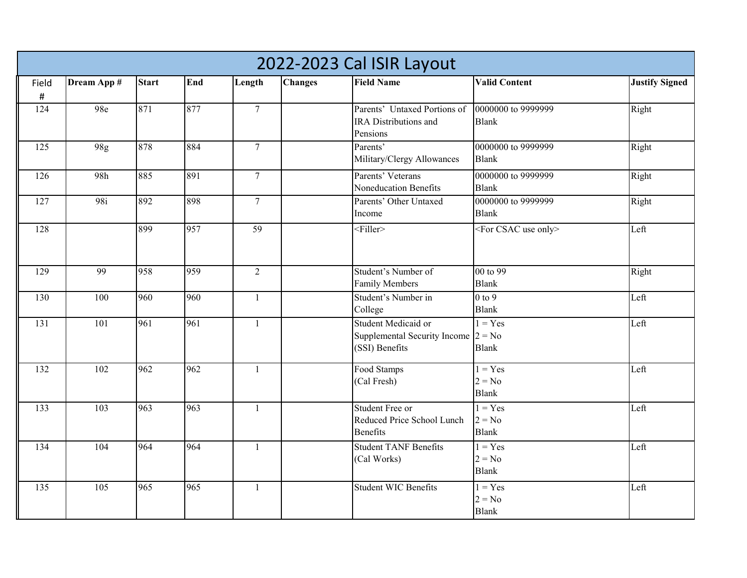|       | 2022-2023 Cal ISIR Layout |              |     |                  |                |                                       |                                    |                       |  |  |  |  |
|-------|---------------------------|--------------|-----|------------------|----------------|---------------------------------------|------------------------------------|-----------------------|--|--|--|--|
| Field | Dream App #               | <b>Start</b> | End | Length           | <b>Changes</b> | <b>Field Name</b>                     | <b>Valid Content</b>               | <b>Justify Signed</b> |  |  |  |  |
| #     |                           |              |     |                  |                |                                       |                                    |                       |  |  |  |  |
| 124   | 98e                       | 871          | 877 | $\overline{7}$   |                | Parents' Untaxed Portions of          | 0000000 to 9999999                 | Right                 |  |  |  |  |
|       |                           |              |     |                  |                | IRA Distributions and                 | <b>Blank</b>                       |                       |  |  |  |  |
|       |                           |              |     |                  |                | Pensions                              |                                    |                       |  |  |  |  |
| 125   | 98g                       | 878          | 884 | $\tau$           |                | Parents'                              | 0000000 to 9999999                 | Right                 |  |  |  |  |
|       |                           |              |     |                  |                | Military/Clergy Allowances            | <b>Blank</b>                       |                       |  |  |  |  |
| 126   | 98h                       | 885          | 891 | $\tau$           |                | Parents' Veterans                     | 0000000 to 9999999                 | Right                 |  |  |  |  |
|       |                           |              |     |                  |                | Noneducation Benefits                 | <b>Blank</b>                       |                       |  |  |  |  |
| 127   | 98i                       | 892          | 898 | $\boldsymbol{7}$ |                | Parents' Other Untaxed                | 0000000 to 9999999                 | Right                 |  |  |  |  |
|       |                           |              |     |                  |                | Income                                | <b>Blank</b>                       |                       |  |  |  |  |
| 128   |                           | 899          | 957 | 59               |                | $<$ Filler>                           | <for csac="" only="" use=""></for> | Left                  |  |  |  |  |
|       |                           |              |     |                  |                |                                       |                                    |                       |  |  |  |  |
|       |                           |              |     |                  |                |                                       |                                    |                       |  |  |  |  |
| 129   | 99                        | 958          | 959 | $\overline{2}$   |                | Student's Number of                   | 00 to 99                           | Right                 |  |  |  |  |
|       |                           |              |     |                  |                | <b>Family Members</b>                 | <b>Blank</b>                       |                       |  |  |  |  |
| 130   | 100                       | 960          | 960 | $\mathbf{1}$     |                | Student's Number in                   | $0$ to $9$                         | Left                  |  |  |  |  |
|       |                           |              |     |                  |                | College                               | <b>Blank</b>                       |                       |  |  |  |  |
| 131   | 101                       | 961          | 961 | $\mathbf{1}$     |                | Student Medicaid or                   | $1 = Yes$                          | Left                  |  |  |  |  |
|       |                           |              |     |                  |                | Supplemental Security Income $2 = No$ |                                    |                       |  |  |  |  |
|       |                           |              |     |                  |                | (SSI) Benefits                        | <b>Blank</b>                       |                       |  |  |  |  |
| 132   | 102                       | 962          | 962 | $\mathbf{1}$     |                | Food Stamps                           | $1 = Yes$                          | Left                  |  |  |  |  |
|       |                           |              |     |                  |                | (Cal Fresh)                           | $2 = No$                           |                       |  |  |  |  |
|       |                           |              |     |                  |                |                                       | <b>Blank</b>                       |                       |  |  |  |  |
| 133   | 103                       | 963          | 963 | $\mathbf{1}$     |                | Student Free or                       | $1 = Yes$                          | Left                  |  |  |  |  |
|       |                           |              |     |                  |                | Reduced Price School Lunch            | $2 = No$                           |                       |  |  |  |  |
|       |                           |              |     |                  |                | <b>Benefits</b>                       | <b>Blank</b>                       |                       |  |  |  |  |
| 134   | 104                       | 964          | 964 | $\mathbf{1}$     |                | <b>Student TANF Benefits</b>          | $1 = Yes$                          | Left                  |  |  |  |  |
|       |                           |              |     |                  |                | (Cal Works)                           | $2 = No$                           |                       |  |  |  |  |
|       |                           |              |     |                  |                |                                       | <b>Blank</b>                       |                       |  |  |  |  |
| 135   | 105                       | 965          | 965 | $\mathbf{1}$     |                | <b>Student WIC Benefits</b>           | $1 = Yes$                          | Left                  |  |  |  |  |
|       |                           |              |     |                  |                |                                       | $2 = No$                           |                       |  |  |  |  |
|       |                           |              |     |                  |                |                                       | <b>Blank</b>                       |                       |  |  |  |  |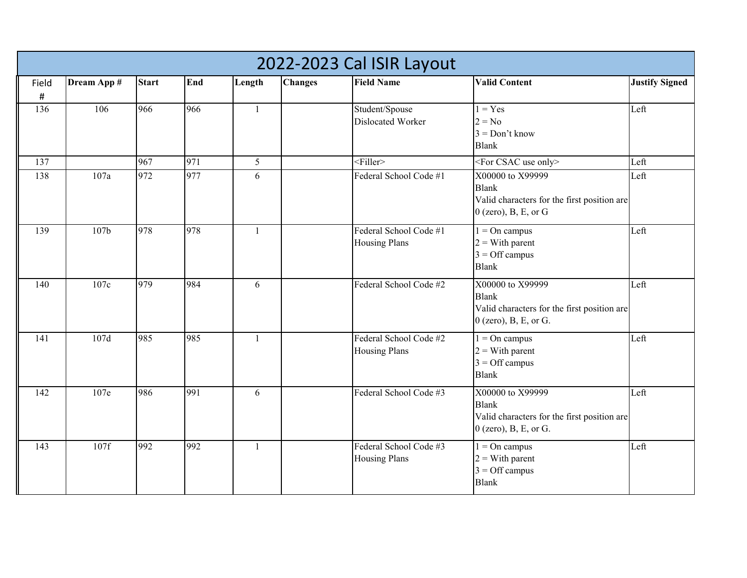|               | 2022-2023 Cal ISIR Layout |              |     |              |                |                                                |                                                                                                            |                       |  |  |  |  |
|---------------|---------------------------|--------------|-----|--------------|----------------|------------------------------------------------|------------------------------------------------------------------------------------------------------------|-----------------------|--|--|--|--|
| Field<br>$\#$ | Dream App #               | <b>Start</b> | End | Length       | <b>Changes</b> | <b>Field Name</b>                              | <b>Valid Content</b>                                                                                       | <b>Justify Signed</b> |  |  |  |  |
| 136           | 106                       | 966          | 966 | $\mathbf{1}$ |                | Student/Spouse<br>Dislocated Worker            | $1 = Yes$<br>$2 = No$<br>$3 = Don't know$<br><b>Blank</b>                                                  | Left                  |  |  |  |  |
| 137           |                           | 967          | 971 | 5            |                | $<$ Filler>                                    | <for csac="" only="" use=""></for>                                                                         | Left                  |  |  |  |  |
| 138           | 107a                      | 972          | 977 | 6            |                | Federal School Code #1                         | X00000 to X99999<br><b>Blank</b><br>Valid characters for the first position are<br>$0$ (zero), B, E, or G  | Left                  |  |  |  |  |
| 139           | 107 <sub>b</sub>          | 978          | 978 | $\mathbf{1}$ |                | Federal School Code #1<br><b>Housing Plans</b> | $1 = On$ campus<br>$2 = With parent$<br>$3 =$ Off campus<br><b>Blank</b>                                   | Left                  |  |  |  |  |
| 140           | 107c                      | 979          | 984 | 6            |                | Federal School Code #2                         | X00000 to X99999<br><b>Blank</b><br>Valid characters for the first position are<br>$0$ (zero), B, E, or G. | Left                  |  |  |  |  |
| 141           | 107d                      | 985          | 985 | $\mathbf{1}$ |                | Federal School Code #2<br><b>Housing Plans</b> | $1 = On$ campus<br>$2 = With parent$<br>$3 =$ Off campus<br><b>Blank</b>                                   | Left                  |  |  |  |  |
| 142           | 107e                      | 986          | 991 | 6            |                | Federal School Code #3                         | X00000 to X99999<br><b>Blank</b><br>Valid characters for the first position are<br>$0$ (zero), B, E, or G. | Left                  |  |  |  |  |
| 143           | 107f                      | 992          | 992 | $\mathbf{1}$ |                | Federal School Code #3<br><b>Housing Plans</b> | $1 = On$ campus<br>$2 = With parent$<br>$3 =$ Off campus<br><b>Blank</b>                                   | Left                  |  |  |  |  |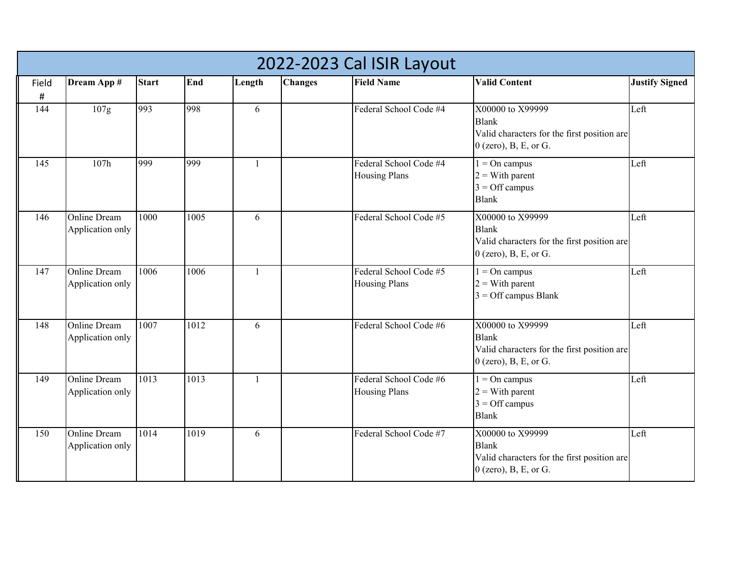|            | 2022-2023 Cal ISIR Layout               |              |      |              |                |                                                |                                                                                                            |                       |  |  |  |  |
|------------|-----------------------------------------|--------------|------|--------------|----------------|------------------------------------------------|------------------------------------------------------------------------------------------------------------|-----------------------|--|--|--|--|
| Field<br># | Dream App #                             | <b>Start</b> | End  | Length       | <b>Changes</b> | <b>Field Name</b>                              | <b>Valid Content</b>                                                                                       | <b>Justify Signed</b> |  |  |  |  |
| 144        | 107g                                    | 993          | 998  | 6            |                | Federal School Code #4                         | X00000 to X99999<br><b>Blank</b><br>Valid characters for the first position are<br>$0$ (zero), B, E, or G. | Left                  |  |  |  |  |
| 145        | 107h                                    | 999          | 999  | $\mathbf{1}$ |                | Federal School Code #4<br><b>Housing Plans</b> | $1 = On$ campus<br>$2 = With parent$<br>$3 =$ Off campus<br><b>Blank</b>                                   | Left                  |  |  |  |  |
| 146        | <b>Online Dream</b><br>Application only | 1000         | 1005 | 6            |                | Federal School Code #5                         | X00000 to X99999<br><b>Blank</b><br>Valid characters for the first position are<br>$0$ (zero), B, E, or G. | Left                  |  |  |  |  |
| 147        | <b>Online Dream</b><br>Application only | 1006         | 1006 | $\mathbf{1}$ |                | Federal School Code #5<br><b>Housing Plans</b> | $1 = On$ campus<br>$2 = With parent$<br>$3 =$ Off campus Blank                                             | Left                  |  |  |  |  |
| 148        | <b>Online Dream</b><br>Application only | 1007         | 1012 | 6            |                | Federal School Code #6                         | X00000 to X99999<br><b>Blank</b><br>Valid characters for the first position are<br>$0$ (zero), B, E, or G. | Left                  |  |  |  |  |
| 149        | <b>Online Dream</b><br>Application only | 1013         | 1013 | $\mathbf{1}$ |                | Federal School Code #6<br><b>Housing Plans</b> | $1 = On$ campus<br>$2 = With parent$<br>$3 =$ Off campus<br><b>Blank</b>                                   | Left                  |  |  |  |  |
| 150        | Online Dream<br>Application only        | 1014         | 1019 | 6            |                | Federal School Code #7                         | X00000 to X99999<br><b>Blank</b><br>Valid characters for the first position are<br>$0$ (zero), B, E, or G. | Left                  |  |  |  |  |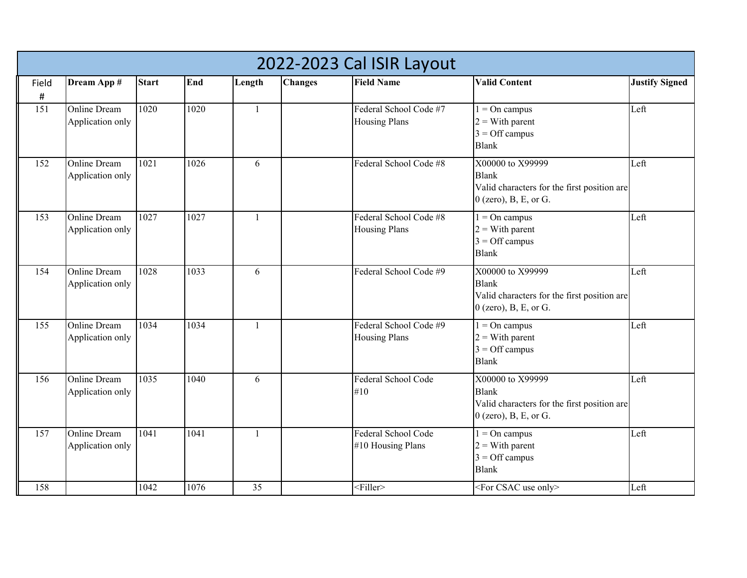|               | 2022-2023 Cal ISIR Layout               |              |      |              |                |                                                |                                                                                                            |                       |  |  |  |  |
|---------------|-----------------------------------------|--------------|------|--------------|----------------|------------------------------------------------|------------------------------------------------------------------------------------------------------------|-----------------------|--|--|--|--|
| Field<br>$\#$ | Dream App #                             | <b>Start</b> | End  | Length       | <b>Changes</b> | <b>Field Name</b>                              | <b>Valid Content</b>                                                                                       | <b>Justify Signed</b> |  |  |  |  |
| 151           | <b>Online Dream</b><br>Application only | 1020         | 1020 | $\mathbf{1}$ |                | Federal School Code #7<br><b>Housing Plans</b> | $1 = On$ campus<br>$2 = With parent$<br>$3 =$ Off campus<br><b>Blank</b>                                   | Left                  |  |  |  |  |
| 152           | <b>Online Dream</b><br>Application only | 1021         | 1026 | 6            |                | Federal School Code #8                         | X00000 to X99999<br><b>Blank</b><br>Valid characters for the first position are<br>$0$ (zero), B, E, or G. | Left                  |  |  |  |  |
| 153           | <b>Online Dream</b><br>Application only | 1027         | 1027 | $\mathbf{1}$ |                | Federal School Code #8<br><b>Housing Plans</b> | $1 = On$ campus<br>$2 = With parent$<br>$3 =$ Off campus<br><b>Blank</b>                                   | Left                  |  |  |  |  |
| 154           | <b>Online Dream</b><br>Application only | 1028         | 1033 | 6            |                | Federal School Code #9                         | X00000 to X99999<br><b>Blank</b><br>Valid characters for the first position are<br>$0$ (zero), B, E, or G. | Left                  |  |  |  |  |
| 155           | Online Dream<br>Application only        | 1034         | 1034 | 1            |                | Federal School Code #9<br><b>Housing Plans</b> | $1 = On$ campus<br>$2 = With parent$<br>$3 =$ Off campus<br><b>Blank</b>                                   | Left                  |  |  |  |  |
| 156           | <b>Online Dream</b><br>Application only | 1035         | 1040 | 6            |                | Federal School Code<br>#10                     | X00000 to X99999<br><b>Blank</b><br>Valid characters for the first position are<br>$0$ (zero), B, E, or G. | Left                  |  |  |  |  |
| 157           | Online Dream<br>Application only        | 1041         | 1041 | 1            |                | Federal School Code<br>#10 Housing Plans       | $1 = On$ campus<br>$2 = With parent$<br>$3 =$ Off campus<br><b>Blank</b>                                   | Left                  |  |  |  |  |
| 158           |                                         | 1042         | 1076 | 35           |                | $\leq$ Filler>                                 | <for csac="" only="" use=""></for>                                                                         | Left                  |  |  |  |  |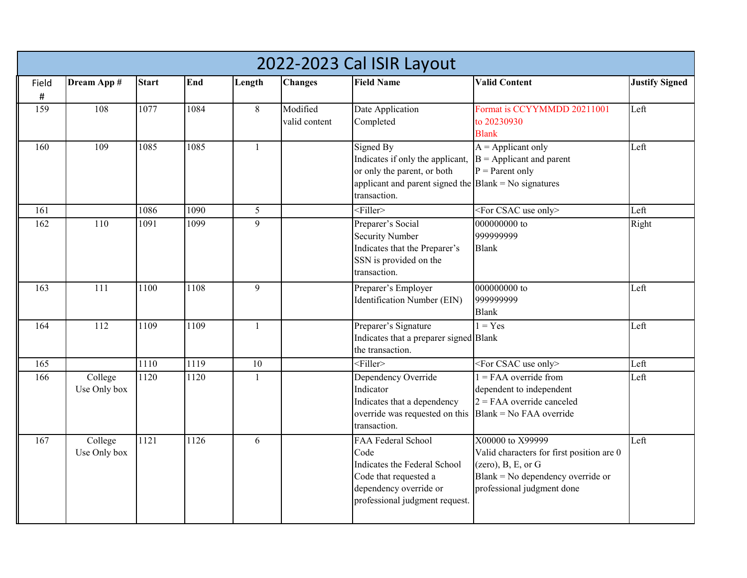|          | 2022-2023 Cal ISIR Layout |              |      |              |                           |                                                                                                                                                               |                                                                                                                                                        |                       |  |  |  |  |
|----------|---------------------------|--------------|------|--------------|---------------------------|---------------------------------------------------------------------------------------------------------------------------------------------------------------|--------------------------------------------------------------------------------------------------------------------------------------------------------|-----------------------|--|--|--|--|
| Field    | Dream App #               | <b>Start</b> | End  | Length       | <b>Changes</b>            | <b>Field Name</b>                                                                                                                                             | <b>Valid Content</b>                                                                                                                                   | <b>Justify Signed</b> |  |  |  |  |
| #<br>159 | 108                       | 1077         | 1084 | $8\,$        | Modified<br>valid content | Date Application<br>Completed                                                                                                                                 | Format is CCYYMMDD 20211001<br>to 20230930<br><b>Blank</b>                                                                                             | Left                  |  |  |  |  |
| 160      | 109                       | 1085         | 1085 | $\mathbf{1}$ |                           | Signed By<br>Indicates if only the applicant,<br>or only the parent, or both<br>applicant and parent signed the $\vert$ Blank = No signatures<br>transaction. | $A =$ Applicant only<br>$B =$ Applicant and parent<br>$P =$ Parent only                                                                                | Left                  |  |  |  |  |
| 161      |                           | 1086         | 1090 | 5            |                           | $\leq$ Filler>                                                                                                                                                | <for csac="" only="" use=""></for>                                                                                                                     | Left                  |  |  |  |  |
| 162      | 110                       | 1091         | 1099 | 9            |                           | Preparer's Social<br><b>Security Number</b><br>Indicates that the Preparer's<br>SSN is provided on the<br>transaction.                                        | 000000000 to<br>999999999<br><b>Blank</b>                                                                                                              | Right                 |  |  |  |  |
| 163      | 111                       | 1100         | 1108 | 9            |                           | Preparer's Employer<br>Identification Number (EIN)                                                                                                            | 000000000 to<br>999999999<br><b>Blank</b>                                                                                                              | Left                  |  |  |  |  |
| 164      | 112                       | 1109         | 1109 | $\mathbf{1}$ |                           | Preparer's Signature<br>Indicates that a preparer signed Blank<br>the transaction.                                                                            | $1 = Yes$                                                                                                                                              | Left                  |  |  |  |  |
| 165      |                           | 1110         | 1119 | 10           |                           | $<$ Filler>                                                                                                                                                   | <for csac="" only="" use=""></for>                                                                                                                     | Left                  |  |  |  |  |
| 166      | College<br>Use Only box   | 1120         | 1120 | $\mathbf{1}$ |                           | Dependency Override<br>Indicator<br>Indicates that a dependency<br>override was requested on this<br>transaction.                                             | $1 = FAA$ override from<br>dependent to independent<br>$2 = FAA$ override canceled<br>$Blank = No FAA override$                                        | Left                  |  |  |  |  |
| 167      | College<br>Use Only box   | 1121         | 1126 | 6            |                           | FAA Federal School<br>Code<br>Indicates the Federal School<br>Code that requested a<br>dependency override or<br>professional judgment request.               | X00000 to X99999<br>Valid characters for first position are 0<br>(zero), B, E, or G<br>Blank = No dependency override or<br>professional judgment done | Left                  |  |  |  |  |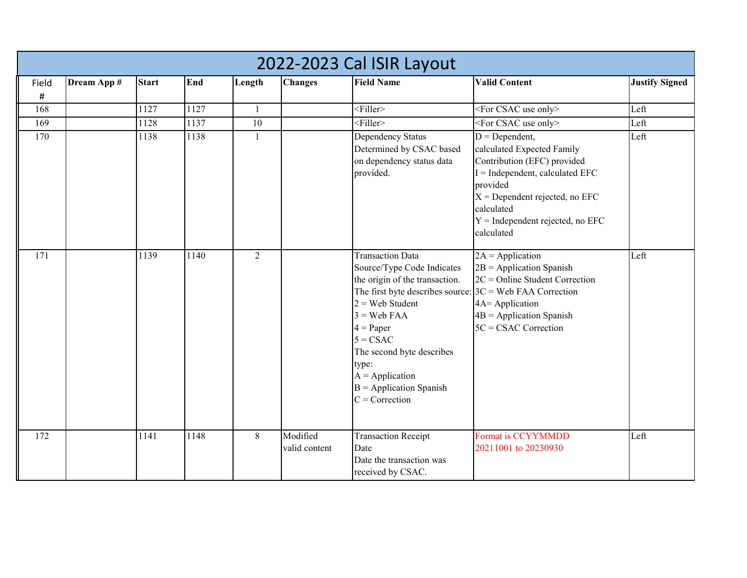|       | 2022-2023 Cal ISIR Layout |              |      |                |                           |                                                                                                                                                                                                                                                                                                            |                                                                                                                                                                                                                                      |                       |  |  |  |  |
|-------|---------------------------|--------------|------|----------------|---------------------------|------------------------------------------------------------------------------------------------------------------------------------------------------------------------------------------------------------------------------------------------------------------------------------------------------------|--------------------------------------------------------------------------------------------------------------------------------------------------------------------------------------------------------------------------------------|-----------------------|--|--|--|--|
| Field | Dream App #               | <b>Start</b> | End  | Length         | <b>Changes</b>            | <b>Field Name</b>                                                                                                                                                                                                                                                                                          | <b>Valid Content</b>                                                                                                                                                                                                                 | <b>Justify Signed</b> |  |  |  |  |
| #     |                           |              |      |                |                           |                                                                                                                                                                                                                                                                                                            |                                                                                                                                                                                                                                      |                       |  |  |  |  |
| 168   |                           | 1127         | 1127 | $\mathbf{1}$   |                           | $\leq$ Filler>                                                                                                                                                                                                                                                                                             | <for csac="" only="" use=""></for>                                                                                                                                                                                                   | Left                  |  |  |  |  |
| 169   |                           | 1128         | 1137 | 10             |                           | $\leq$ Filler>                                                                                                                                                                                                                                                                                             | <for csac="" only="" use=""></for>                                                                                                                                                                                                   | Left                  |  |  |  |  |
| 170   |                           | 1138         | 1138 | 1              |                           | Dependency Status<br>Determined by CSAC based<br>on dependency status data<br>provided.                                                                                                                                                                                                                    | $D = Dependent,$<br>calculated Expected Family<br>Contribution (EFC) provided<br>$I =$ Independent, calculated EFC<br>provided<br>$X =$ Dependent rejected, no EFC<br>calculated<br>$Y =$ Independent rejected, no EFC<br>calculated | Left                  |  |  |  |  |
| 171   |                           | 1139         | 1140 | $\overline{2}$ |                           | <b>Transaction Data</b><br>Source/Type Code Indicates<br>the origin of the transaction.<br>The first byte describes source:<br>$2 =$ Web Student<br>$3 =$ Web FAA<br>$4 = Paper$<br>$5 = CSAC$<br>The second byte describes<br>type:<br>$A = Application$<br>$B =$ Application Spanish<br>$C =$ Correction | $2A = Application$<br>$2B =$ Application Spanish<br>$2C = Online Student Correction$<br>$3C$ = Web FAA Correction<br>4A= Application<br>$4B =$ Application Spanish<br>$5C = CSAC$ Correction                                         | Left                  |  |  |  |  |
| 172   |                           | 1141         | 1148 | $8\,$          | Modified<br>valid content | <b>Transaction Receipt</b><br>Date<br>Date the transaction was<br>received by CSAC.                                                                                                                                                                                                                        | Format is CCYYMMDD<br>20211001 to 20230930                                                                                                                                                                                           | Left                  |  |  |  |  |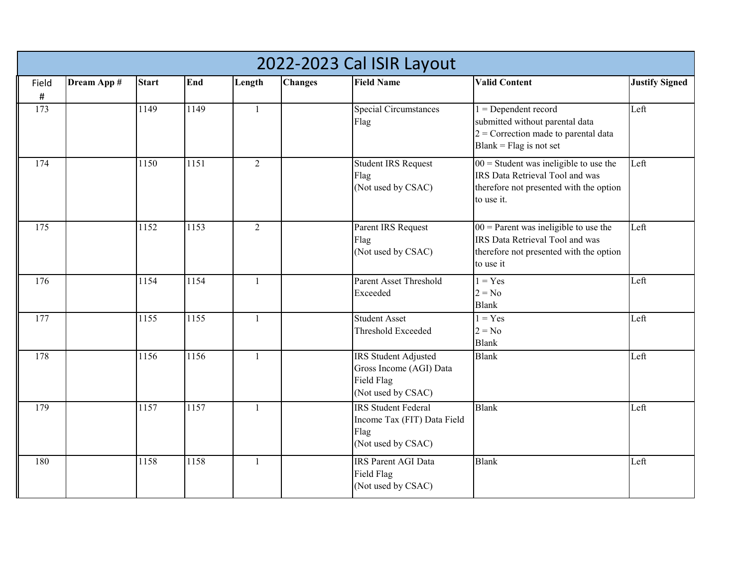|               | 2022-2023 Cal ISIR Layout |              |      |                |                |                                                                                         |                                                                                                                                      |                       |  |  |  |  |
|---------------|---------------------------|--------------|------|----------------|----------------|-----------------------------------------------------------------------------------------|--------------------------------------------------------------------------------------------------------------------------------------|-----------------------|--|--|--|--|
| Field<br>$\#$ | Dream App #               | <b>Start</b> | End  | Length         | <b>Changes</b> | <b>Field Name</b>                                                                       | <b>Valid Content</b>                                                                                                                 | <b>Justify Signed</b> |  |  |  |  |
| 173           |                           | 1149         | 1149 | $\mathbf{1}$   |                | <b>Special Circumstances</b><br>Flag                                                    | $1 =$ Dependent record<br>submitted without parental data<br>$2$ = Correction made to parental data<br>$Blank = Flag$ is not set     | Left                  |  |  |  |  |
| 174           |                           | 1150         | 1151 | $\overline{2}$ |                | <b>Student IRS Request</b><br>Flag<br>(Not used by CSAC)                                | $00 =$ Student was ineligible to use the<br>IRS Data Retrieval Tool and was<br>therefore not presented with the option<br>to use it. | Left                  |  |  |  |  |
| 175           |                           | 1152         | 1153 | $\overline{2}$ |                | Parent IRS Request<br>Flag<br>(Not used by CSAC)                                        | $00$ = Parent was ineligible to use the<br>IRS Data Retrieval Tool and was<br>therefore not presented with the option<br>to use it   | Left                  |  |  |  |  |
| 176           |                           | 1154         | 1154 | $\mathbf{1}$   |                | Parent Asset Threshold<br>Exceeded                                                      | $1 = Yes$<br>$2 = No$<br><b>Blank</b>                                                                                                | Left                  |  |  |  |  |
| 177           |                           | 1155         | 1155 | $\mathbf{1}$   |                | <b>Student Asset</b><br>Threshold Exceeded                                              | $1 = Yes$<br>$2 = No$<br><b>Blank</b>                                                                                                | Left                  |  |  |  |  |
| 178           |                           | 1156         | 1156 | 1              |                | IRS Student Adjusted<br>Gross Income (AGI) Data<br>Field Flag<br>(Not used by CSAC)     | <b>Blank</b>                                                                                                                         | Left                  |  |  |  |  |
| 179           |                           | 1157         | 1157 | $\mathbf{1}$   |                | <b>IRS</b> Student Federal<br>Income Tax (FIT) Data Field<br>Flag<br>(Not used by CSAC) | <b>Blank</b>                                                                                                                         | Left                  |  |  |  |  |
| 180           |                           | 1158         | 1158 | $\mathbf{1}$   |                | <b>IRS Parent AGI Data</b><br>Field Flag<br>(Not used by CSAC)                          | <b>Blank</b>                                                                                                                         | Left                  |  |  |  |  |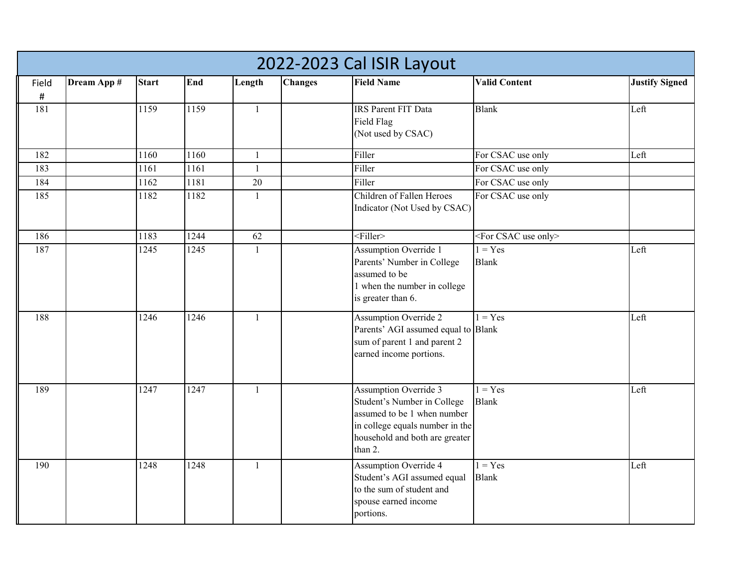|       | 2022-2023 Cal ISIR Layout |              |      |              |                |                                                                                                                                                                            |                                    |                       |  |  |  |
|-------|---------------------------|--------------|------|--------------|----------------|----------------------------------------------------------------------------------------------------------------------------------------------------------------------------|------------------------------------|-----------------------|--|--|--|
| Field | Dream App #               | <b>Start</b> | End  | Length       | <b>Changes</b> | <b>Field Name</b>                                                                                                                                                          | <b>Valid Content</b>               | <b>Justify Signed</b> |  |  |  |
| #     |                           |              |      |              |                |                                                                                                                                                                            |                                    |                       |  |  |  |
| 181   |                           | 1159         | 1159 | $\mathbf{1}$ |                | <b>IRS Parent FIT Data</b><br>Field Flag<br>(Not used by CSAC)                                                                                                             | <b>Blank</b>                       | Left                  |  |  |  |
| 182   |                           | 1160         | 1160 | $\mathbf{1}$ |                | Filler                                                                                                                                                                     | For CSAC use only                  | Left                  |  |  |  |
| 183   |                           | 1161         | 1161 | $\mathbf{1}$ |                | Filler                                                                                                                                                                     | For CSAC use only                  |                       |  |  |  |
| 184   |                           | 1162         | 1181 | $20\,$       |                | Filler                                                                                                                                                                     | For CSAC use only                  |                       |  |  |  |
| 185   |                           | 1182         | 1182 | $\mathbf{1}$ |                | Children of Fallen Heroes<br>Indicator (Not Used by CSAC)                                                                                                                  | For CSAC use only                  |                       |  |  |  |
| 186   |                           | 1183         | 1244 | 62           |                | $\overline{\leq}$ Filler>                                                                                                                                                  | <for csac="" only="" use=""></for> |                       |  |  |  |
| 187   |                           | 1245         | 1245 | $\mathbf{1}$ |                | Assumption Override 1<br>Parents' Number in College<br>assumed to be<br>1 when the number in college<br>is greater than 6.                                                 | $1 = Yes$<br><b>Blank</b>          | Left                  |  |  |  |
| 188   |                           | 1246         | 1246 | $\mathbf{1}$ |                | <b>Assumption Override 2</b><br>Parents' AGI assumed equal to Blank<br>sum of parent 1 and parent 2<br>earned income portions.                                             | $1 = Yes$                          | Left                  |  |  |  |
| 189   |                           | 1247         | 1247 | $\mathbf{1}$ |                | <b>Assumption Override 3</b><br>Student's Number in College<br>assumed to be 1 when number<br>in college equals number in the<br>household and both are greater<br>than 2. | $1 = Yes$<br><b>Blank</b>          | Left                  |  |  |  |
| 190   |                           | 1248         | 1248 | $\mathbf{1}$ |                | <b>Assumption Override 4</b><br>Student's AGI assumed equal<br>to the sum of student and<br>spouse earned income<br>portions.                                              | $1 = Yes$<br><b>Blank</b>          | Left                  |  |  |  |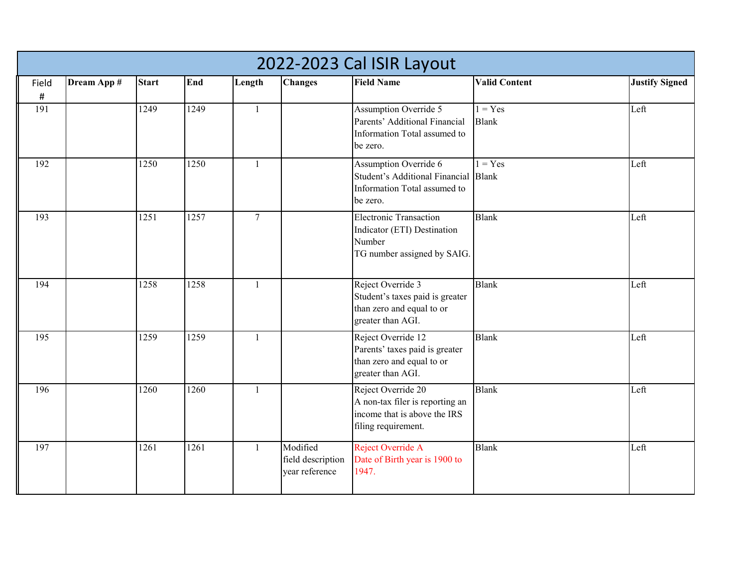|               | 2022-2023 Cal ISIR Layout |              |      |                |                                                 |                                                                                                              |                           |                       |  |  |  |
|---------------|---------------------------|--------------|------|----------------|-------------------------------------------------|--------------------------------------------------------------------------------------------------------------|---------------------------|-----------------------|--|--|--|
| Field<br>$\#$ | Dream App #               | <b>Start</b> | End  | Length         | <b>Changes</b>                                  | <b>Field Name</b>                                                                                            | <b>Valid Content</b>      | <b>Justify Signed</b> |  |  |  |
| 191           |                           | 1249         | 1249 | 1              |                                                 | Assumption Override 5<br>Parents' Additional Financial<br>Information Total assumed to<br>be zero.           | $1 = Yes$<br><b>Blank</b> | Left                  |  |  |  |
| 192           |                           | 1250         | 1250 | $\mathbf{1}$   |                                                 | Assumption Override 6<br>Student's Additional Financial Blank<br>Information Total assumed to<br>be zero.    | $1 = Yes$                 | Left                  |  |  |  |
| 193           |                           | 1251         | 1257 | $\overline{7}$ |                                                 | <b>Electronic Transaction</b><br>Indicator (ETI) Destination<br>Number<br>TG number assigned by SAIG.        | <b>Blank</b>              | Left                  |  |  |  |
| 194           |                           | 1258         | 1258 | $\mathbf{1}$   |                                                 | Reject Override 3<br>Student's taxes paid is greater<br>than zero and equal to or<br>greater than AGI.       | <b>Blank</b>              | Left                  |  |  |  |
| 195           |                           | 1259         | 1259 | $\mathbf{1}$   |                                                 | Reject Override 12<br>Parents' taxes paid is greater<br>than zero and equal to or<br>greater than AGI.       | <b>Blank</b>              | Left                  |  |  |  |
| 196           |                           | 1260         | 1260 | $\mathbf{1}$   |                                                 | Reject Override 20<br>A non-tax filer is reporting an<br>income that is above the IRS<br>filing requirement. | <b>Blank</b>              | Left                  |  |  |  |
| 197           |                           | 1261         | 1261 | $\mathbf{1}$   | Modified<br>field description<br>vear reference | Reject Override A<br>Date of Birth year is 1900 to<br>1947.                                                  | <b>Blank</b>              | Left                  |  |  |  |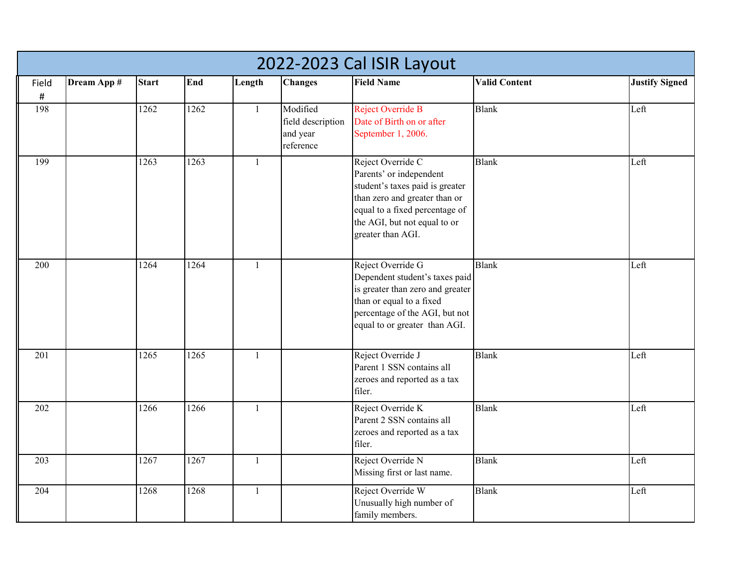|             |             |              |      |              |                                                        | 2022-2023 Cal ISIR Layout                                                                                                                                                                               |                      |                       |
|-------------|-------------|--------------|------|--------------|--------------------------------------------------------|---------------------------------------------------------------------------------------------------------------------------------------------------------------------------------------------------------|----------------------|-----------------------|
| Field       | Dream App # | <b>Start</b> | End  | Length       | <b>Changes</b>                                         | <b>Field Name</b>                                                                                                                                                                                       | <b>Valid Content</b> | <b>Justify Signed</b> |
| $\#$<br>198 |             | 1262         | 1262 | $\mathbf{1}$ | Modified<br>field description<br>and year<br>reference | Reject Override B<br>Date of Birth on or after<br>September 1, 2006.                                                                                                                                    | <b>Blank</b>         | Left                  |
| 199         |             | 1263         | 1263 | $\mathbf{1}$ |                                                        | Reject Override C<br>Parents' or independent<br>student's taxes paid is greater<br>than zero and greater than or<br>equal to a fixed percentage of<br>the AGI, but not equal to or<br>greater than AGI. | <b>Blank</b>         | Left                  |
| 200         |             | 1264         | 1264 | $\mathbf{1}$ |                                                        | Reject Override G<br>Dependent student's taxes paid<br>is greater than zero and greater<br>than or equal to a fixed<br>percentage of the AGI, but not<br>equal to or greater than AGI.                  | <b>Blank</b>         | Left                  |
| 201         |             | 1265         | 1265 | $\mathbf{1}$ |                                                        | Reject Override J<br>Parent 1 SSN contains all<br>zeroes and reported as a tax<br>filer.                                                                                                                | <b>Blank</b>         | Left                  |
| 202         |             | 1266         | 1266 | $\mathbf{1}$ |                                                        | Reject Override K<br>Parent 2 SSN contains all<br>zeroes and reported as a tax<br>filer.                                                                                                                | <b>Blank</b>         | Left                  |
| 203         |             | 1267         | 1267 | $\mathbf{1}$ |                                                        | Reject Override N<br>Missing first or last name.                                                                                                                                                        | <b>Blank</b>         | Left                  |
| 204         |             | 1268         | 1268 | $\mathbf{1}$ |                                                        | Reject Override W<br>Unusually high number of<br>family members.                                                                                                                                        | <b>Blank</b>         | Left                  |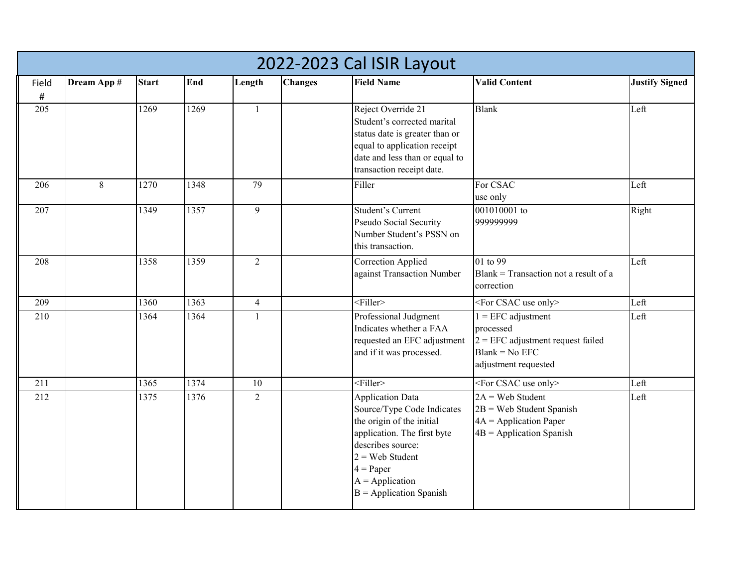|             | 2022-2023 Cal ISIR Layout |              |      |                |                |                                                                                                                                                                                                                              |                                                                                                                      |                       |  |  |  |  |
|-------------|---------------------------|--------------|------|----------------|----------------|------------------------------------------------------------------------------------------------------------------------------------------------------------------------------------------------------------------------------|----------------------------------------------------------------------------------------------------------------------|-----------------------|--|--|--|--|
| Field       | Dream App #               | <b>Start</b> | End  | Length         | <b>Changes</b> | <b>Field Name</b>                                                                                                                                                                                                            | <b>Valid Content</b>                                                                                                 | <b>Justify Signed</b> |  |  |  |  |
| $\#$<br>205 |                           | 1269         | 1269 | $\mathbf{1}$   |                | Reject Override 21<br>Student's corrected marital<br>status date is greater than or<br>equal to application receipt<br>date and less than or equal to<br>transaction receipt date.                                           | Blank                                                                                                                | Left                  |  |  |  |  |
| 206         | $\,8\,$                   | 1270         | 1348 | 79             |                | Filler                                                                                                                                                                                                                       | For CSAC<br>use only                                                                                                 | Left                  |  |  |  |  |
| 207         |                           | 1349         | 1357 | $\mathbf{9}$   |                | Student's Current<br>Pseudo Social Security<br>Number Student's PSSN on<br>this transaction.                                                                                                                                 | 001010001 to<br>999999999                                                                                            | Right                 |  |  |  |  |
| 208         |                           | 1358         | 1359 | $\overline{2}$ |                | <b>Correction Applied</b><br>against Transaction Number                                                                                                                                                                      | 01 to 99<br>Blank = Transaction not a result of a<br>correction                                                      | Left                  |  |  |  |  |
| 209         |                           | 1360         | 1363 | $\overline{4}$ |                | $<$ Filler>                                                                                                                                                                                                                  | <for csac="" only="" use=""></for>                                                                                   | Left                  |  |  |  |  |
| 210         |                           | 1364         | 1364 | $\mathbf{1}$   |                | Professional Judgment<br>Indicates whether a FAA<br>requested an EFC adjustment<br>and if it was processed.                                                                                                                  | $1 = EFC$ adjustment<br>processed<br>$2 = EFC$ adjustment request failed<br>$Blank = No EFC$<br>adjustment requested | Left                  |  |  |  |  |
| 211         |                           | 1365         | 1374 | 10             |                | $<$ Filler>                                                                                                                                                                                                                  | $\leq$ For CSAC use only>                                                                                            | Left                  |  |  |  |  |
| 212         |                           | 1375         | 1376 | $\overline{2}$ |                | <b>Application Data</b><br>Source/Type Code Indicates<br>the origin of the initial<br>application. The first byte<br>describes source:<br>$2 =$ Web Student<br>$4 = Paper$<br>$A = Application$<br>$B =$ Application Spanish | $2A = Web Student$<br>$2B$ = Web Student Spanish<br>$4A = Application Paper$<br>$4B =$ Application Spanish           | Left                  |  |  |  |  |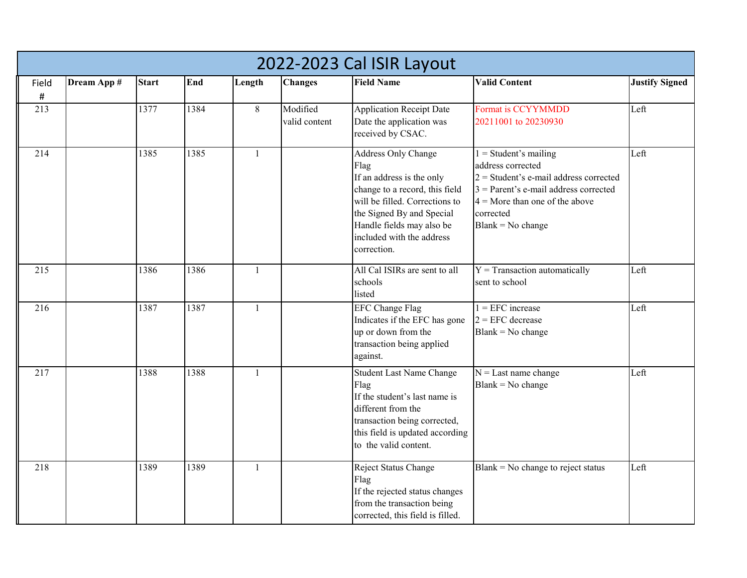|          |             |              |      |              |                           | 2022-2023 Cal ISIR Layout                                                                                                                                                                                                          |                                                                                                                                                                                                             |                       |
|----------|-------------|--------------|------|--------------|---------------------------|------------------------------------------------------------------------------------------------------------------------------------------------------------------------------------------------------------------------------------|-------------------------------------------------------------------------------------------------------------------------------------------------------------------------------------------------------------|-----------------------|
| Field    | Dream App # | <b>Start</b> | End  | Length       | <b>Changes</b>            | <b>Field Name</b>                                                                                                                                                                                                                  | <b>Valid Content</b>                                                                                                                                                                                        | <b>Justify Signed</b> |
| #<br>213 |             | 1377         | 1384 | 8            | Modified<br>valid content | <b>Application Receipt Date</b><br>Date the application was<br>received by CSAC.                                                                                                                                                   | Format is CCYYMMDD<br>20211001 to 20230930                                                                                                                                                                  | Left                  |
| 214      |             | 1385         | 1385 | $\mathbf{1}$ |                           | Address Only Change<br>Flag<br>If an address is the only<br>change to a record, this field<br>will be filled. Corrections to<br>the Signed By and Special<br>Handle fields may also be<br>included with the address<br>correction. | $1 = Student's mailing$<br>address corrected<br>$2$ = Student's e-mail address corrected<br>$3$ = Parent's e-mail address corrected<br>$4 =$ More than one of the above<br>corrected<br>$Blank = No change$ | Left                  |
| 215      |             | 1386         | 1386 | $\mathbf{1}$ |                           | All Cal ISIRs are sent to all<br>schools<br>listed                                                                                                                                                                                 | $Y = T$ ransaction automatically<br>sent to school                                                                                                                                                          | Left                  |
| 216      |             | 1387         | 1387 | $\mathbf{1}$ |                           | <b>EFC Change Flag</b><br>Indicates if the EFC has gone<br>up or down from the<br>transaction being applied<br>against.                                                                                                            | $1 = EFC$ increase<br>$2 = EFC$ decrease<br>$Blank = No change$                                                                                                                                             | Left                  |
| 217      |             | 1388         | 1388 | $\mathbf{1}$ |                           | <b>Student Last Name Change</b><br>Flag<br>If the student's last name is<br>different from the<br>transaction being corrected,<br>this field is updated according<br>to the valid content.                                         | $N =$ Last name change<br>$Blank = No change$                                                                                                                                                               | Left                  |
| 218      |             | 1389         | 1389 | $\mathbf{1}$ |                           | Reject Status Change<br>Flag<br>If the rejected status changes<br>from the transaction being<br>corrected, this field is filled.                                                                                                   | $Blank = No change to reject status$                                                                                                                                                                        | Left                  |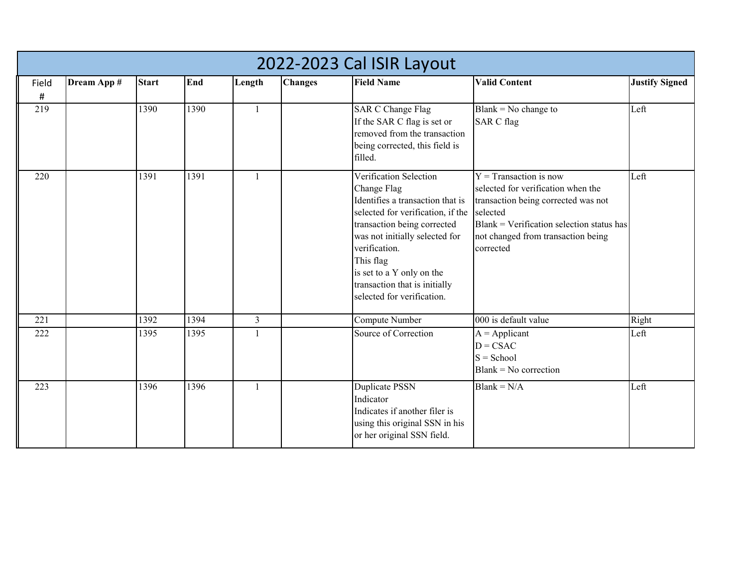|            | 2022-2023 Cal ISIR Layout |              |      |                |                |                                                                                                                                                                                                                                                                                                           |                                                                                                                                                                                                                     |                       |  |  |  |  |
|------------|---------------------------|--------------|------|----------------|----------------|-----------------------------------------------------------------------------------------------------------------------------------------------------------------------------------------------------------------------------------------------------------------------------------------------------------|---------------------------------------------------------------------------------------------------------------------------------------------------------------------------------------------------------------------|-----------------------|--|--|--|--|
| Field<br># | Dream App #               | <b>Start</b> | End  | Length         | <b>Changes</b> | <b>Field Name</b>                                                                                                                                                                                                                                                                                         | <b>Valid Content</b>                                                                                                                                                                                                | <b>Justify Signed</b> |  |  |  |  |
| 219        |                           | 1390         | 1390 | $\mathbf{1}$   |                | <b>SAR C Change Flag</b><br>If the SAR C flag is set or<br>removed from the transaction<br>being corrected, this field is<br>filled.                                                                                                                                                                      | Blank = $No$ change to<br><b>SAR C flag</b>                                                                                                                                                                         | Left                  |  |  |  |  |
| 220        |                           | 1391         | 1391 | 1              |                | Verification Selection<br>Change Flag<br>Identifies a transaction that is<br>selected for verification, if the<br>transaction being corrected<br>was not initially selected for<br>verification.<br>This flag<br>is set to a Y only on the<br>transaction that is initially<br>selected for verification. | $Y =$ Transaction is now<br>selected for verification when the<br>transaction being corrected was not<br>selected<br>$Blank = Verification selection status has$<br>not changed from transaction being<br>corrected | Left                  |  |  |  |  |
| 221        |                           | 1392         | 1394 | $\overline{3}$ |                | Compute Number                                                                                                                                                                                                                                                                                            | 000 is default value                                                                                                                                                                                                | Right                 |  |  |  |  |
| 222        |                           | 1395         | 1395 | 1              |                | Source of Correction                                                                                                                                                                                                                                                                                      | $A = Applicant$<br>$D = CSAC$<br>$S =$ School<br>$Blank = No$ correction                                                                                                                                            | Left                  |  |  |  |  |
| 223        |                           | 1396         | 1396 | 1              |                | <b>Duplicate PSSN</b><br>Indicator<br>Indicates if another filer is<br>using this original SSN in his<br>or her original SSN field.                                                                                                                                                                       | $Blank = N/A$                                                                                                                                                                                                       | Left                  |  |  |  |  |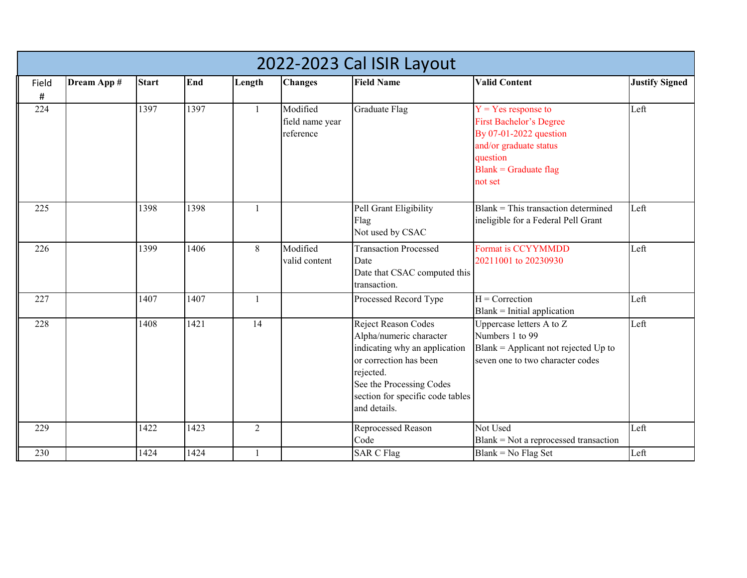|                         | 2022-2023 Cal ISIR Layout |              |      |                |                                          |                                                                                                                                                                                                        |                                                                                                                                                               |                       |  |  |  |  |
|-------------------------|---------------------------|--------------|------|----------------|------------------------------------------|--------------------------------------------------------------------------------------------------------------------------------------------------------------------------------------------------------|---------------------------------------------------------------------------------------------------------------------------------------------------------------|-----------------------|--|--|--|--|
| Field<br>$\pmb{\sharp}$ | Dream App #               | <b>Start</b> | End  | Length         | <b>Changes</b>                           | <b>Field Name</b>                                                                                                                                                                                      | <b>Valid Content</b>                                                                                                                                          | <b>Justify Signed</b> |  |  |  |  |
| 224                     |                           | 1397         | 1397 | $\mathbf{1}$   | Modified<br>field name year<br>reference | Graduate Flag                                                                                                                                                                                          | $Y = Yes$ response to<br><b>First Bachelor's Degree</b><br>By 07-01-2022 question<br>and/or graduate status<br>question<br>$Blank = Graduate flag$<br>not set | Left                  |  |  |  |  |
| 225                     |                           | 1398         | 1398 | $\mathbf{1}$   |                                          | Pell Grant Eligibility<br>Flag<br>Not used by CSAC                                                                                                                                                     | $Blank = This transaction determined$<br>ineligible for a Federal Pell Grant                                                                                  | Left                  |  |  |  |  |
| 226                     |                           | 1399         | 1406 | 8              | Modified<br>valid content                | <b>Transaction Processed</b><br>Date<br>Date that CSAC computed this<br>transaction.                                                                                                                   | <b>Format is CCYYMMDD</b><br>20211001 to 20230930                                                                                                             | Left                  |  |  |  |  |
| 227                     |                           | 1407         | 1407 | $\mathbf{1}$   |                                          | Processed Record Type                                                                                                                                                                                  | $\overline{H}$ = Correction<br>Blank = Initial application                                                                                                    | Left                  |  |  |  |  |
| 228                     |                           | 1408         | 1421 | 14             |                                          | Reject Reason Codes<br>Alpha/numeric character<br>indicating why an application<br>or correction has been<br>rejected.<br>See the Processing Codes<br>section for specific code tables<br>and details. | Uppercase letters A to Z<br>Numbers 1 to 99<br>Blank = Applicant not rejected $Up$ to<br>seven one to two character codes                                     | Left                  |  |  |  |  |
| 229                     |                           | 1422         | 1423 | $\overline{2}$ |                                          | Reprocessed Reason<br>Code                                                                                                                                                                             | Not Used<br>$Blank = Not$ a reprocessed transaction                                                                                                           | Left                  |  |  |  |  |
| 230                     |                           | 1424         | 1424 | 1              |                                          | <b>SAR C Flag</b>                                                                                                                                                                                      | $Blank = No Flag Set$                                                                                                                                         | Left                  |  |  |  |  |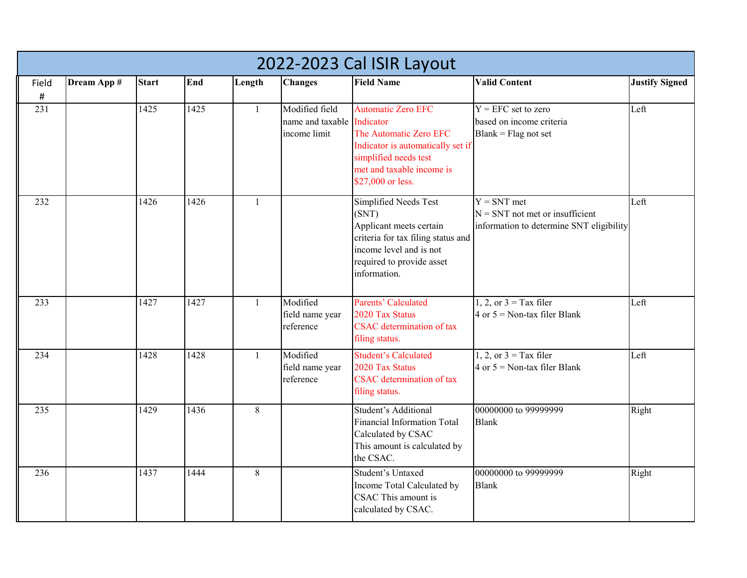|             | 2022-2023 Cal ISIR Layout |              |      |              |                                                              |                                                                                                                                                                         |                                                                                                |                       |  |  |  |  |
|-------------|---------------------------|--------------|------|--------------|--------------------------------------------------------------|-------------------------------------------------------------------------------------------------------------------------------------------------------------------------|------------------------------------------------------------------------------------------------|-----------------------|--|--|--|--|
| Field       | Dream App #               | <b>Start</b> | End  | Length       | <b>Changes</b>                                               | <b>Field Name</b>                                                                                                                                                       | <b>Valid Content</b>                                                                           | <b>Justify Signed</b> |  |  |  |  |
| $\#$<br>231 |                           | 1425         | 1425 | $\mathbf{1}$ | Modified field<br>name and taxable Indicator<br>income limit | <b>Automatic Zero EFC</b><br>The Automatic Zero EFC<br>Indicator is automatically set if<br>simplified needs test<br>met and taxable income is<br>\$27,000 or less.     | $Y = EFC$ set to zero<br>based on income criteria<br>$Blank = Flag$ not set                    | Left                  |  |  |  |  |
| 232         |                           | 1426         | 1426 | 1            |                                                              | Simplified Needs Test<br>(SNT)<br>Applicant meets certain<br>criteria for tax filing status and<br>income level and is not<br>required to provide asset<br>information. | $Y = SNT$ met<br>$N = SNT$ not met or insufficient<br>information to determine SNT eligibility | Left                  |  |  |  |  |
| 233         |                           | 1427         | 1427 | 1            | Modified<br>field name year<br>reference                     | <b>Parents' Calculated</b><br>2020 Tax Status<br><b>CSAC</b> determination of tax<br>filing status.                                                                     | 1, 2, or $3 =$ Tax filer<br>4 or $5 =$ Non-tax filer Blank                                     | Left                  |  |  |  |  |
| 234         |                           | 1428         | 1428 | $\mathbf{1}$ | Modified<br>field name year<br>reference                     | <b>Student's Calculated</b><br>2020 Tax Status<br><b>CSAC</b> determination of tax<br>filing status.                                                                    | $1, 2,$ or $3 =$ Tax filer<br>4 or $5 =$ Non-tax filer Blank                                   | Left                  |  |  |  |  |
| 235         |                           | 1429         | 1436 | 8            |                                                              | Student's Additional<br>Financial Information Total<br>Calculated by CSAC<br>This amount is calculated by<br>the CSAC.                                                  | 00000000 to 99999999<br><b>Blank</b>                                                           | Right                 |  |  |  |  |
| 236         |                           | 1437         | 1444 | 8            |                                                              | Student's Untaxed<br>Income Total Calculated by<br>CSAC This amount is<br>calculated by CSAC.                                                                           | 00000000 to 99999999<br><b>Blank</b>                                                           | Right                 |  |  |  |  |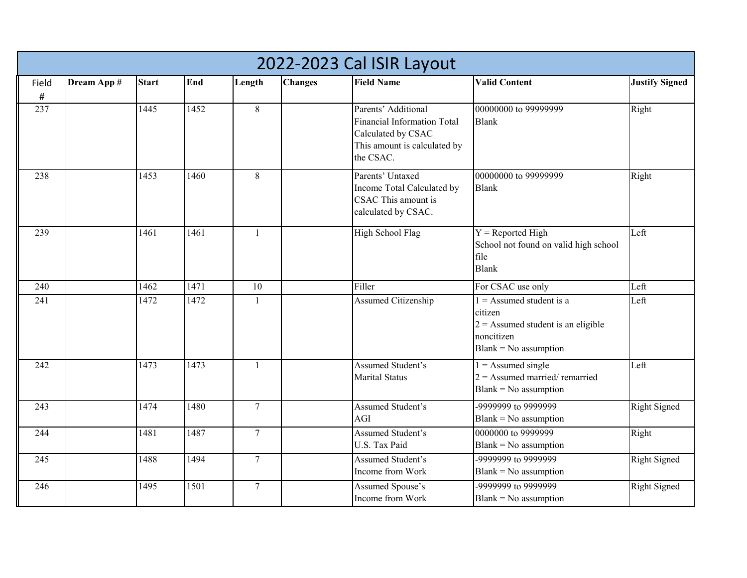|       | 2022-2023 Cal ISIR Layout |              |      |                 |                |                                                                                                                       |                                                                                                                        |                       |  |  |  |  |
|-------|---------------------------|--------------|------|-----------------|----------------|-----------------------------------------------------------------------------------------------------------------------|------------------------------------------------------------------------------------------------------------------------|-----------------------|--|--|--|--|
| Field | Dream App #               | <b>Start</b> | End  | Length          | <b>Changes</b> | <b>Field Name</b>                                                                                                     | <b>Valid Content</b>                                                                                                   | <b>Justify Signed</b> |  |  |  |  |
| #     |                           |              |      |                 |                |                                                                                                                       |                                                                                                                        |                       |  |  |  |  |
| 237   |                           | 1445         | 1452 | 8               |                | Parents' Additional<br>Financial Information Total<br>Calculated by CSAC<br>This amount is calculated by<br>the CSAC. | 00000000 to 99999999<br><b>Blank</b>                                                                                   | Right                 |  |  |  |  |
| 238   |                           | 1453         | 1460 | 8               |                | Parents' Untaxed<br>Income Total Calculated by<br>CSAC This amount is<br>calculated by CSAC.                          | 00000000 to 99999999<br><b>Blank</b>                                                                                   | Right                 |  |  |  |  |
| 239   |                           | 1461         | 1461 | $\mathbf{1}$    |                | High School Flag                                                                                                      | $Y =$ Reported High<br>School not found on valid high school<br>file<br><b>Blank</b>                                   | Left                  |  |  |  |  |
| 240   |                           | 1462         | 1471 | 10              |                | Filler                                                                                                                | For CSAC use only                                                                                                      | Left                  |  |  |  |  |
| 241   |                           | 1472         | 1472 | 1               |                | Assumed Citizenship                                                                                                   | $1 =$ Assumed student is a<br>citizen<br>$2$ = Assumed student is an eligible<br>noncitizen<br>$Blank = No$ assumption | Left                  |  |  |  |  |
| 242   |                           | 1473         | 1473 | $\mathbf{1}$    |                | Assumed Student's<br><b>Marital Status</b>                                                                            | $1 =$ Assumed single<br>$2 =$ Assumed married/remarried<br>$Blank = No$ assumption                                     | Left                  |  |  |  |  |
| 243   |                           | 1474         | 1480 | $7\phantom{.0}$ |                | Assumed Student's<br>AGI                                                                                              | -9999999 to 9999999<br>$Blank = No$ assumption                                                                         | <b>Right Signed</b>   |  |  |  |  |
| 244   |                           | 1481         | 1487 | $\overline{7}$  |                | Assumed Student's<br>U.S. Tax Paid                                                                                    | 0000000 to 9999999<br>$Blank = No$ assumption                                                                          | Right                 |  |  |  |  |
| 245   |                           | 1488         | 1494 | $\overline{7}$  |                | Assumed Student's<br>Income from Work                                                                                 | -9999999 to 9999999<br>$Blank = No$ assumption                                                                         | <b>Right Signed</b>   |  |  |  |  |
| 246   |                           | 1495         | 1501 | $\tau$          |                | Assumed Spouse's<br>Income from Work                                                                                  | 9999999 to 9999999<br>$Blank = No$ assumption                                                                          | <b>Right Signed</b>   |  |  |  |  |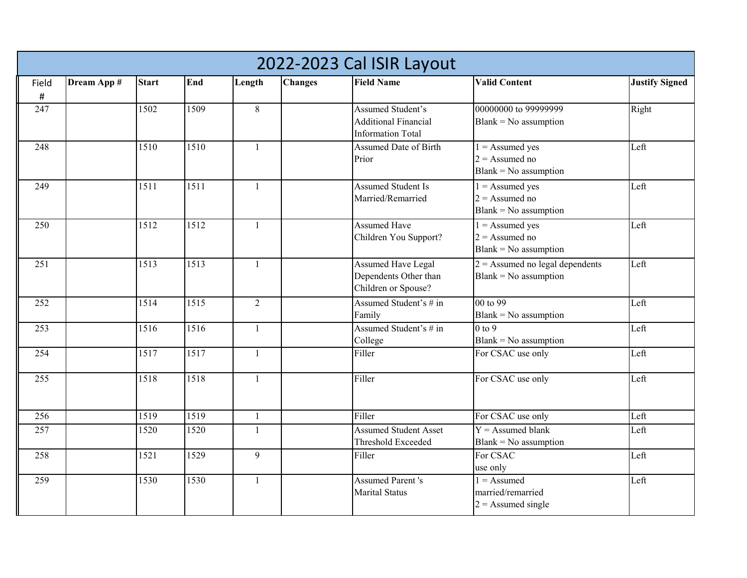|                  | 2022-2023 Cal ISIR Layout |              |      |                |                |                                                                              |                                                                  |                       |  |  |  |  |
|------------------|---------------------------|--------------|------|----------------|----------------|------------------------------------------------------------------------------|------------------------------------------------------------------|-----------------------|--|--|--|--|
| Field            | Dream App #               | <b>Start</b> | End  | Length         | <b>Changes</b> | <b>Field Name</b>                                                            | <b>Valid Content</b>                                             | <b>Justify Signed</b> |  |  |  |  |
| $\#$             |                           |              |      |                |                |                                                                              |                                                                  |                       |  |  |  |  |
| 247              |                           | 1502         | 1509 | $\,8\,$        |                | Assumed Student's<br><b>Additional Financial</b><br><b>Information Total</b> | 00000000 to 99999999<br>$Blank = No$ assumption                  | Right                 |  |  |  |  |
| 248              |                           | 1510         | 1510 | $\mathbf{1}$   |                | Assumed Date of Birth<br>Prior                                               | $1 =$ Assumed yes<br>$2 =$ Assumed no<br>$Blank = No$ assumption | Left                  |  |  |  |  |
| 249              |                           | 1511         | 1511 | $\mathbf{1}$   |                | <b>Assumed Student Is</b><br>Married/Remarried                               | $1 =$ Assumed yes<br>$2 =$ Assumed no<br>$Blank = No$ assumption | Left                  |  |  |  |  |
| 250              |                           | 1512         | 1512 | $\mathbf{1}$   |                | <b>Assumed Have</b><br>Children You Support?                                 | $1 =$ Assumed yes<br>$2 =$ Assumed no<br>$Blank = No$ assumption | Left                  |  |  |  |  |
| 251              |                           | 1513         | 1513 | $\mathbf{1}$   |                | <b>Assumed Have Legal</b><br>Dependents Other than<br>Children or Spouse?    | $2 =$ Assumed no legal dependents<br>$Blank = No$ assumption     | Left                  |  |  |  |  |
| $\overline{252}$ |                           | 1514         | 1515 | $\overline{2}$ |                | Assumed Student's # in<br>Family                                             | 00 to 99<br>$Blank = No$ assumption                              | Left                  |  |  |  |  |
| 253              |                           | 1516         | 1516 | $\mathbf{1}$   |                | Assumed Student's # in<br>College                                            | $0 \text{ to } 9$<br>$Blank = No$ assumption                     | Left                  |  |  |  |  |
| 254              |                           | 1517         | 1517 | $\mathbf{1}$   |                | Filler                                                                       | For CSAC use only                                                | Left                  |  |  |  |  |
| $\overline{255}$ |                           | 1518         | 1518 | $\mathbf{1}$   |                | Filler                                                                       | For CSAC use only                                                | Left                  |  |  |  |  |
| 256              |                           | 1519         | 1519 | $\mathbf{1}$   |                | Filler                                                                       | For CSAC use only                                                | Left                  |  |  |  |  |
| 257              |                           | 1520         | 1520 | $\mathbf{1}$   |                | <b>Assumed Student Asset</b><br>Threshold Exceeded                           | $Y =$ Assumed blank<br>$Blank = No$ assumption                   | Left                  |  |  |  |  |
| 258              |                           | 1521         | 1529 | 9              |                | Filler                                                                       | For CSAC<br>use only                                             | Left                  |  |  |  |  |
| 259              |                           | 1530         | 1530 | $\mathbf{1}$   |                | <b>Assumed Parent's</b><br><b>Marital Status</b>                             | $1 =$ Assumed<br>married/remarried<br>$2 =$ Assumed single       | Left                  |  |  |  |  |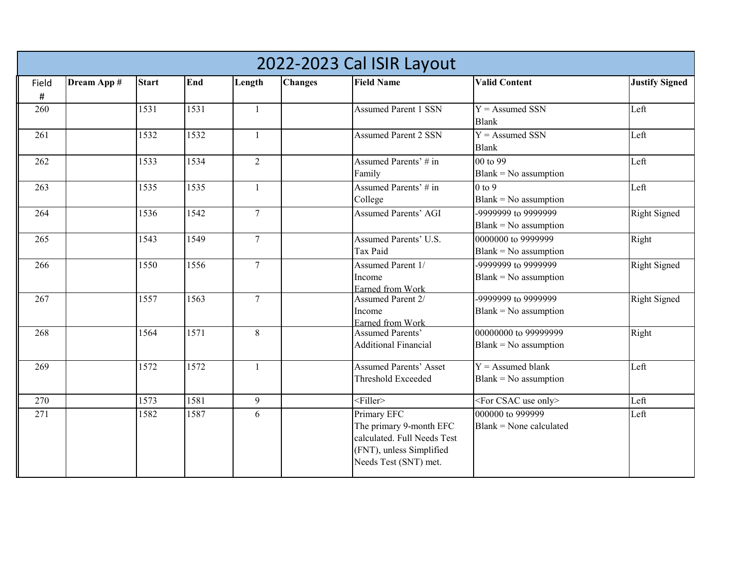|                 | 2022-2023 Cal ISIR Layout |              |      |                |                |                                                                                                                            |                                                 |                       |  |  |  |  |
|-----------------|---------------------------|--------------|------|----------------|----------------|----------------------------------------------------------------------------------------------------------------------------|-------------------------------------------------|-----------------------|--|--|--|--|
| Field           | Dream App #               | <b>Start</b> | End  | Length         | <b>Changes</b> | <b>Field Name</b>                                                                                                          | <b>Valid Content</b>                            | <b>Justify Signed</b> |  |  |  |  |
| $\sharp$<br>260 |                           | 1531         | 1531 | $\mathbf{1}$   |                | <b>Assumed Parent 1 SSN</b>                                                                                                | $Y =$ Assumed SSN<br><b>Blank</b>               | Left                  |  |  |  |  |
| 261             |                           | 1532         | 1532 | $\mathbf{1}$   |                | <b>Assumed Parent 2 SSN</b>                                                                                                | $Y =$ Assumed SSN<br><b>Blank</b>               | Left                  |  |  |  |  |
| 262             |                           | 1533         | 1534 | $\overline{2}$ |                | Assumed Parents' # in<br>Family                                                                                            | 00 to 99<br>$Blank = No$ assumption             | Left                  |  |  |  |  |
| 263             |                           | 1535         | 1535 | 1              |                | Assumed Parents' # in<br>College                                                                                           | $0$ to $9$<br>$Blank = No$ assumption           | Left                  |  |  |  |  |
| 264             |                           | 1536         | 1542 | $\overline{7}$ |                | <b>Assumed Parents' AGI</b>                                                                                                | -9999999 to 9999999<br>$Blank = No$ assumption  | Right Signed          |  |  |  |  |
| 265             |                           | 1543         | 1549 | $\overline{7}$ |                | Assumed Parents' U.S.<br>Tax Paid                                                                                          | 0000000 to 9999999<br>$Blank = No$ assumption   | Right                 |  |  |  |  |
| 266             |                           | 1550         | 1556 | $\overline{7}$ |                | Assumed Parent 1/<br>Income<br>Earned from Work                                                                            | -9999999 to 9999999<br>$Blank = No$ assumption  | <b>Right Signed</b>   |  |  |  |  |
| 267             |                           | 1557         | 1563 | $\overline{7}$ |                | <b>Assumed Parent 2/</b><br>Income<br>Earned from Work                                                                     | -9999999 to 9999999<br>$Blank = No$ assumption  | <b>Right Signed</b>   |  |  |  |  |
| 268             |                           | 1564         | 1571 | 8              |                | <b>Assumed Parents'</b><br><b>Additional Financial</b>                                                                     | 00000000 to 99999999<br>$Blank = No$ assumption | Right                 |  |  |  |  |
| 269             |                           | 1572         | 1572 | $\mathbf{1}$   |                | <b>Assumed Parents' Asset</b><br>Threshold Exceeded                                                                        | $Y =$ Assumed blank<br>$Blank = No$ assumption  | Left                  |  |  |  |  |
| 270             |                           | 1573         | 1581 | 9              |                | $\overline{\leq}$ Filler>                                                                                                  | <for csac="" only="" use=""></for>              | Left                  |  |  |  |  |
| 271             |                           | 1582         | 1587 | 6              |                | Primary EFC<br>The primary 9-month EFC<br>calculated. Full Needs Test<br>(FNT), unless Simplified<br>Needs Test (SNT) met. | 000000 to 999999<br>$Blank = None calculated$   | Left                  |  |  |  |  |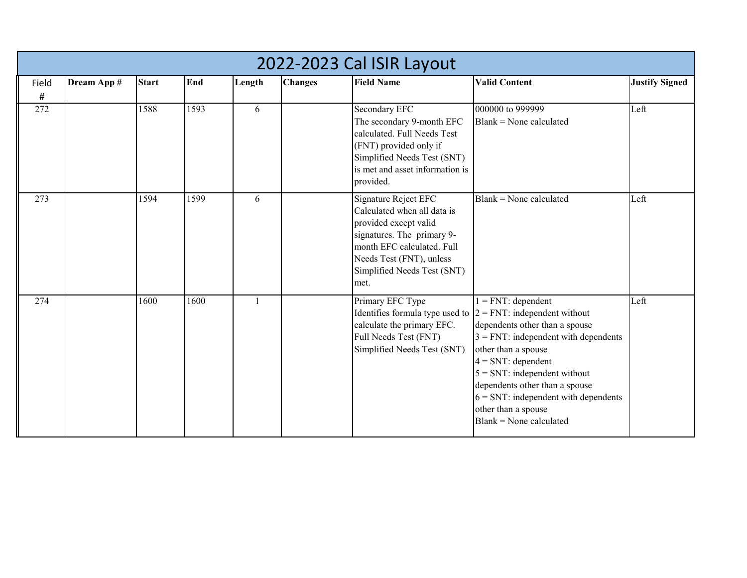|            | 2022-2023 Cal ISIR Layout |              |      |              |                |                                                                                                                                                                                                             |                                                                                                                                                                                                                                                                                                                             |                       |  |  |  |  |
|------------|---------------------------|--------------|------|--------------|----------------|-------------------------------------------------------------------------------------------------------------------------------------------------------------------------------------------------------------|-----------------------------------------------------------------------------------------------------------------------------------------------------------------------------------------------------------------------------------------------------------------------------------------------------------------------------|-----------------------|--|--|--|--|
| Field<br># | Dream App #               | <b>Start</b> | End  | Length       | <b>Changes</b> | <b>Field Name</b>                                                                                                                                                                                           | <b>Valid Content</b>                                                                                                                                                                                                                                                                                                        | <b>Justify Signed</b> |  |  |  |  |
| 272        |                           | 1588         | 1593 | 6            |                | Secondary EFC<br>The secondary 9-month EFC<br>calculated. Full Needs Test<br>(FNT) provided only if<br>Simplified Needs Test (SNT)<br>is met and asset information is<br>provided.                          | 000000 to 999999<br>$Blank = None$ calculated                                                                                                                                                                                                                                                                               | Left                  |  |  |  |  |
| 273        |                           | 1594         | 1599 | 6            |                | Signature Reject EFC<br>Calculated when all data is<br>provided except valid<br>signatures. The primary 9-<br>month EFC calculated. Full<br>Needs Test (FNT), unless<br>Simplified Needs Test (SNT)<br>met. | $Blank = None calculated$                                                                                                                                                                                                                                                                                                   | Left                  |  |  |  |  |
| 274        |                           | 1600         | 1600 | $\mathbf{1}$ |                | Primary EFC Type<br>Identifies formula type used to $2 = FNT$ : independent without<br>calculate the primary EFC.<br>Full Needs Test (FNT)<br>Simplified Needs Test (SNT)                                   | $1 = FNT: dependent$<br>dependents other than a spouse<br>$3 = FNT$ : independent with dependents<br>other than a spouse<br>$4 = SNT$ : dependent<br>$5 = SNT$ : independent without<br>dependents other than a spouse<br>$6 = \text{SNT}:$ independent with dependents<br>other than a spouse<br>$Blank = None calculated$ | Left                  |  |  |  |  |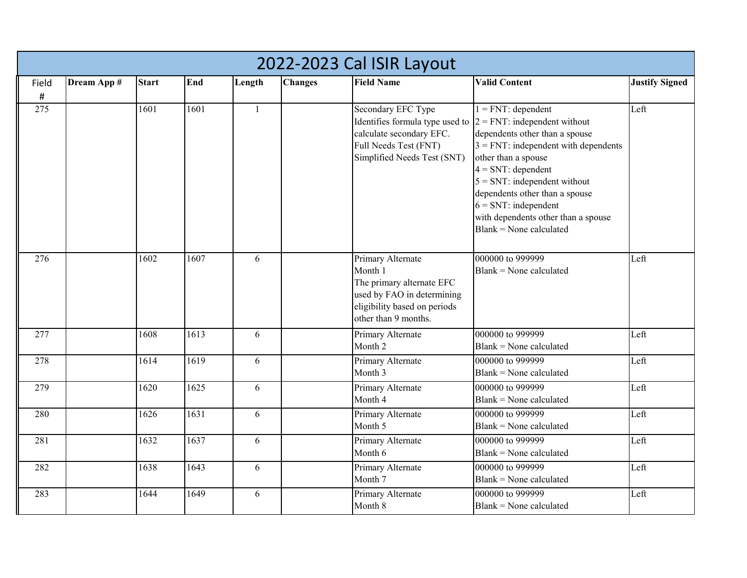|       | 2022-2023 Cal ISIR Layout |              |      |              |                |                                                                                                                                                 |                                                                                                                                                                                                                                                                                                                                                               |                       |  |  |  |  |
|-------|---------------------------|--------------|------|--------------|----------------|-------------------------------------------------------------------------------------------------------------------------------------------------|---------------------------------------------------------------------------------------------------------------------------------------------------------------------------------------------------------------------------------------------------------------------------------------------------------------------------------------------------------------|-----------------------|--|--|--|--|
| Field | Dream App #               | <b>Start</b> | End  | Length       | <b>Changes</b> | <b>Field Name</b>                                                                                                                               | <b>Valid Content</b>                                                                                                                                                                                                                                                                                                                                          | <b>Justify Signed</b> |  |  |  |  |
| #     |                           |              |      |              |                |                                                                                                                                                 |                                                                                                                                                                                                                                                                                                                                                               |                       |  |  |  |  |
| 275   |                           | 1601         | 1601 | $\mathbf{1}$ |                | Secondary EFC Type<br>Identifies formula type used to<br>calculate secondary EFC.<br>Full Needs Test (FNT)<br>Simplified Needs Test (SNT)       | $1 = FNT$ : dependent<br>$2 = FNT$ : independent without<br>dependents other than a spouse<br>$3 = FNT$ : independent with dependents<br>other than a spouse<br>$4 = SNT$ : dependent<br>$5 = \text{SNT}:$ independent without<br>dependents other than a spouse<br>$6 = SNT$ : independent<br>with dependents other than a spouse<br>Blank = None calculated | Left                  |  |  |  |  |
| 276   |                           | 1602         | 1607 | 6            |                | Primary Alternate<br>Month 1<br>The primary alternate EFC<br>used by FAO in determining<br>eligibility based on periods<br>other than 9 months. | 000000 to 999999<br>$Blank = None$ calculated                                                                                                                                                                                                                                                                                                                 | Left                  |  |  |  |  |
| 277   |                           | 1608         | 1613 | 6            |                | Primary Alternate<br>Month 2                                                                                                                    | 000000 to 999999<br>Blank = None calculated                                                                                                                                                                                                                                                                                                                   | Left                  |  |  |  |  |
| 278   |                           | 1614         | 1619 | 6            |                | Primary Alternate<br>Month 3                                                                                                                    | 000000 to 999999<br>$Blank = None calculated$                                                                                                                                                                                                                                                                                                                 | Left                  |  |  |  |  |
| 279   |                           | 1620         | 1625 | 6            |                | Primary Alternate<br>Month 4                                                                                                                    | 000000 to 999999<br>Blank = None calculated                                                                                                                                                                                                                                                                                                                   | Left                  |  |  |  |  |
| 280   |                           | 1626         | 1631 | 6            |                | Primary Alternate<br>Month 5                                                                                                                    | 000000 to 999999<br>Blank = None calculated                                                                                                                                                                                                                                                                                                                   | Left                  |  |  |  |  |
| 281   |                           | 1632         | 1637 | 6            |                | Primary Alternate<br>Month 6                                                                                                                    | 000000 to 999999<br>$Blank = None calculated$                                                                                                                                                                                                                                                                                                                 | Left                  |  |  |  |  |
| 282   |                           | 1638         | 1643 | 6            |                | Primary Alternate<br>Month 7                                                                                                                    | 000000 to 999999<br>Blank = None calculated                                                                                                                                                                                                                                                                                                                   | Left                  |  |  |  |  |
| 283   |                           | 1644         | 1649 | 6            |                | Primary Alternate<br>Month 8                                                                                                                    | 000000 to 999999<br>$Blank = None$ calculated                                                                                                                                                                                                                                                                                                                 | Left                  |  |  |  |  |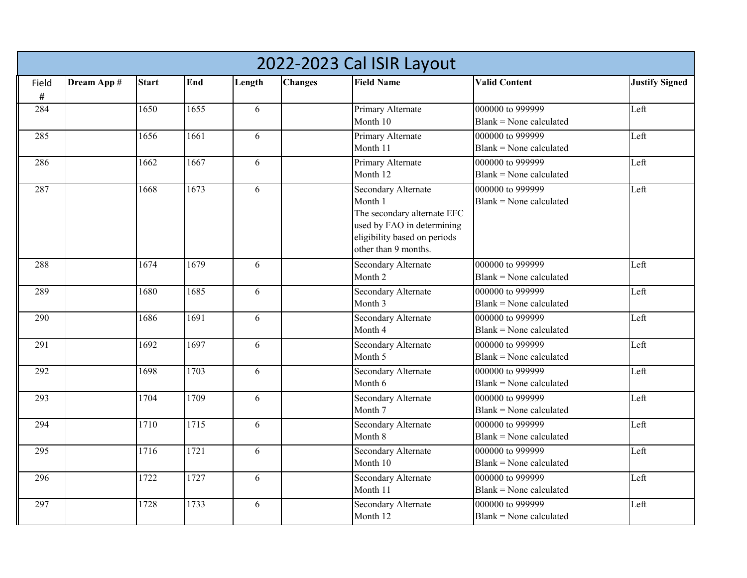|       | 2022-2023 Cal ISIR Layout |                 |      |        |                |                              |                           |                       |  |  |  |  |  |
|-------|---------------------------|-----------------|------|--------|----------------|------------------------------|---------------------------|-----------------------|--|--|--|--|--|
| Field | Dream App #               | <b>Start</b>    | End  | Length | <b>Changes</b> | <b>Field Name</b>            | <b>Valid Content</b>      | <b>Justify Signed</b> |  |  |  |  |  |
| $\#$  |                           |                 |      |        |                |                              |                           |                       |  |  |  |  |  |
| 284   |                           | 1650            | 1655 | 6      |                | Primary Alternate            | 000000 to 999999          | Left                  |  |  |  |  |  |
|       |                           |                 |      |        |                | Month 10                     | $Blank = None calculated$ |                       |  |  |  |  |  |
| 285   |                           | 1656            | 1661 | 6      |                | Primary Alternate            | 000000 to 999999          | Left                  |  |  |  |  |  |
|       |                           |                 |      |        |                | Month 11                     | $Blank = None calculated$ |                       |  |  |  |  |  |
| 286   |                           | 1662            | 1667 | 6      |                | Primary Alternate            | 000000 to 999999          | Left                  |  |  |  |  |  |
|       |                           |                 |      |        |                | Month 12                     | $Blank = None calculated$ |                       |  |  |  |  |  |
| 287   |                           | 1668            | 1673 | 6      |                | Secondary Alternate          | 000000 to 999999          | Left                  |  |  |  |  |  |
|       |                           |                 |      |        |                | Month 1                      | $Blank = None calculated$ |                       |  |  |  |  |  |
|       |                           |                 |      |        |                | The secondary alternate EFC  |                           |                       |  |  |  |  |  |
|       |                           |                 |      |        |                | used by FAO in determining   |                           |                       |  |  |  |  |  |
|       |                           |                 |      |        |                | eligibility based on periods |                           |                       |  |  |  |  |  |
|       |                           |                 |      |        |                | other than 9 months.         |                           |                       |  |  |  |  |  |
| 288   |                           | 1674            | 1679 | 6      |                | <b>Secondary Alternate</b>   | 000000 to 999999          | Left                  |  |  |  |  |  |
|       |                           |                 |      |        |                | Month 2                      | $Blank = None calculated$ |                       |  |  |  |  |  |
| 289   |                           | 1680            | 1685 | 6      |                | Secondary Alternate          | 000000 to 999999          | Left                  |  |  |  |  |  |
|       |                           |                 |      |        |                | Month 3                      | $Blank = None$ calculated |                       |  |  |  |  |  |
| 290   |                           | 1686            | 1691 | 6      |                | Secondary Alternate          | 000000 to 999999          | Left                  |  |  |  |  |  |
|       |                           |                 |      |        |                | Month 4                      | $Blank = None$ calculated |                       |  |  |  |  |  |
| 291   |                           | 1692            | 1697 | 6      |                | Secondary Alternate          | 000000 to 999999          | Left                  |  |  |  |  |  |
|       |                           |                 |      |        |                | Month 5                      | $Blank = None calculated$ |                       |  |  |  |  |  |
| 292   |                           | 1698            | 1703 | 6      |                | <b>Secondary Alternate</b>   | 000000 to 999999          | Left                  |  |  |  |  |  |
|       |                           |                 |      |        |                | Month 6                      | $Blank = None calculated$ |                       |  |  |  |  |  |
| 293   |                           | 1704            | 1709 | 6      |                | <b>Secondary Alternate</b>   | 000000 to 999999          | Left                  |  |  |  |  |  |
|       |                           |                 |      |        |                | Month 7                      | Blank = None calculated   |                       |  |  |  |  |  |
| 294   |                           | $\frac{1}{710}$ | 1715 | 6      |                | Secondary Alternate          | 000000 to 999999          | Left                  |  |  |  |  |  |
|       |                           |                 |      |        |                | Month 8                      | Blank = None calculated   |                       |  |  |  |  |  |
| 295   |                           | 1716            | 1721 | 6      |                | Secondary Alternate          | 000000 to 999999          | Left                  |  |  |  |  |  |
|       |                           |                 |      |        |                | Month 10                     | $Blank = None calculated$ |                       |  |  |  |  |  |
| 296   |                           | 1722            | 1727 | 6      |                | Secondary Alternate          | 000000 to 999999          | Left                  |  |  |  |  |  |
|       |                           |                 |      |        |                | Month 11                     | Blank = None calculated   |                       |  |  |  |  |  |
| 297   |                           | 1728            | 1733 | 6      |                | Secondary Alternate          | 000000 to 999999          | Left                  |  |  |  |  |  |
|       |                           |                 |      |        |                | Month 12                     | Blank = None calculated   |                       |  |  |  |  |  |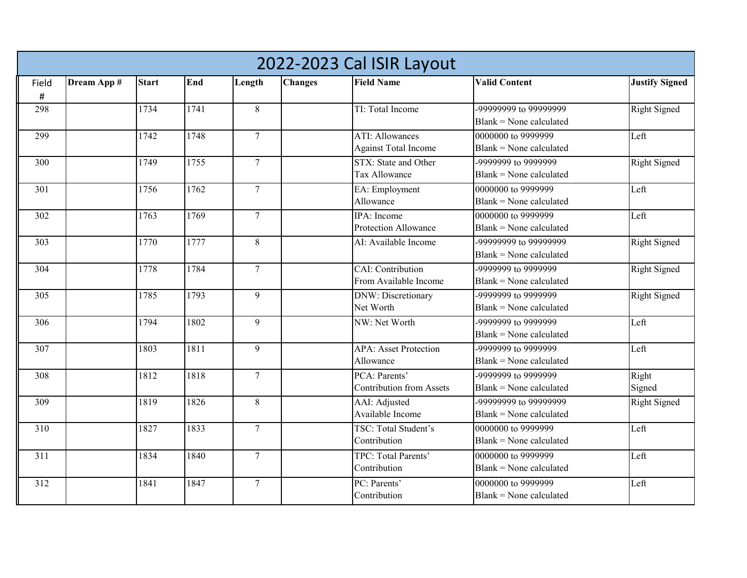|       | 2022-2023 Cal ISIR Layout |              |      |                  |                |                                 |                           |                       |  |  |  |  |
|-------|---------------------------|--------------|------|------------------|----------------|---------------------------------|---------------------------|-----------------------|--|--|--|--|
| Field | Dream App #               | <b>Start</b> | End  | Length           | <b>Changes</b> | <b>Field Name</b>               | <b>Valid Content</b>      | <b>Justify Signed</b> |  |  |  |  |
| #     |                           |              |      |                  |                |                                 |                           |                       |  |  |  |  |
| 298   |                           | 1734         | 1741 | 8                |                | TI: Total Income                | -99999999 to 99999999     | <b>Right Signed</b>   |  |  |  |  |
|       |                           |              |      |                  |                |                                 | Blank = None calculated   |                       |  |  |  |  |
| 299   |                           | 1742         | 1748 | $\overline{7}$   |                | <b>ATI: Allowances</b>          | 0000000 to 9999999        | Left                  |  |  |  |  |
|       |                           |              |      |                  |                | <b>Against Total Income</b>     | $Blank = None$ calculated |                       |  |  |  |  |
| 300   |                           | 1749         | 1755 | $\overline{7}$   |                | STX: State and Other            | -9999999 to 9999999       | <b>Right Signed</b>   |  |  |  |  |
|       |                           |              |      |                  |                | Tax Allowance                   | $Blank = None calculated$ |                       |  |  |  |  |
| 301   |                           | 1756         | 1762 | $\overline{7}$   |                | EA: Employment                  | 0000000 to 9999999        | Left                  |  |  |  |  |
|       |                           |              |      |                  |                | Allowance                       | Blank = None calculated   |                       |  |  |  |  |
| 302   |                           | 1763         | 1769 | $\overline{7}$   |                | <b>IPA</b> : Income             | 0000000 to 9999999        | Left                  |  |  |  |  |
|       |                           |              |      |                  |                | Protection Allowance            | $Blank = None calculated$ |                       |  |  |  |  |
| 303   |                           | 1770         | 1777 | 8                |                | AI: Available Income            | -99999999 to 99999999     | <b>Right Signed</b>   |  |  |  |  |
|       |                           |              |      |                  |                |                                 | $Blank = None calculated$ |                       |  |  |  |  |
| 304   |                           | 1778         | 1784 | $\boldsymbol{7}$ |                | CAI: Contribution               | 9999999 to 9999999        | <b>Right Signed</b>   |  |  |  |  |
|       |                           |              |      |                  |                | From Available Income           | $Blank = None$ calculated |                       |  |  |  |  |
| 305   |                           | 1785         | 1793 | 9                |                | <b>DNW: Discretionary</b>       | 9999999 to 9999999        | <b>Right Signed</b>   |  |  |  |  |
|       |                           |              |      |                  |                | Net Worth                       | Blank = None calculated   |                       |  |  |  |  |
| 306   |                           | 1794         | 1802 | 9                |                | NW: Net Worth                   | -9999999 to 9999999       | Left                  |  |  |  |  |
|       |                           |              |      |                  |                |                                 | $Blank = None calculated$ |                       |  |  |  |  |
| 307   |                           | 1803         | 1811 | 9                |                | <b>APA: Asset Protection</b>    | 9999999 to 9999999        | Left                  |  |  |  |  |
|       |                           |              |      |                  |                | Allowance                       | $Blank = None$ calculated |                       |  |  |  |  |
| 308   |                           | 1812         | 1818 | $\overline{7}$   |                | PCA: Parents'                   | $-99999996$ to 9999999    | Right                 |  |  |  |  |
|       |                           |              |      |                  |                | <b>Contribution from Assets</b> | $Blank = None calculated$ | Signed                |  |  |  |  |
| 309   |                           | 1819         | 1826 | 8                |                | AAI: Adjusted                   | -99999999 to 99999999     | <b>Right Signed</b>   |  |  |  |  |
|       |                           |              |      |                  |                | Available Income                | $Blank = None calculated$ |                       |  |  |  |  |
| 310   |                           | 1827         | 1833 | $7\overline{ }$  |                | TSC: Total Student's            | 0000000 to 9999999        | Left                  |  |  |  |  |
|       |                           |              |      |                  |                | Contribution                    | $Blank = None calculated$ |                       |  |  |  |  |
| 311   |                           | 1834         | 1840 | $\overline{7}$   |                | TPC: Total Parents'             | 0000000 to 9999999        | Left                  |  |  |  |  |
|       |                           |              |      |                  |                | Contribution                    | Blank = None calculated   |                       |  |  |  |  |
| 312   |                           | 1841         | 1847 | $\tau$           |                | PC: Parents'                    | 0000000 to 9999999        | Left                  |  |  |  |  |
|       |                           |              |      |                  |                | Contribution                    | Blank = None calculated   |                       |  |  |  |  |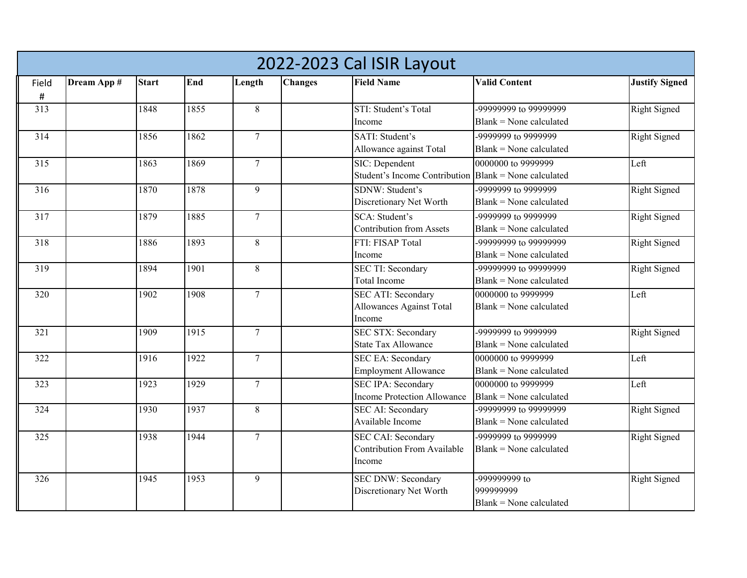|       | 2022-2023 Cal ISIR Layout |              |      |                 |                |                                                                           |                                                       |                       |  |  |  |  |
|-------|---------------------------|--------------|------|-----------------|----------------|---------------------------------------------------------------------------|-------------------------------------------------------|-----------------------|--|--|--|--|
| Field | Dream App #               | <b>Start</b> | End  | Length          | <b>Changes</b> | <b>Field Name</b>                                                         | <b>Valid Content</b>                                  | <b>Justify Signed</b> |  |  |  |  |
| #     |                           |              |      |                 |                |                                                                           |                                                       |                       |  |  |  |  |
| 313   |                           | 1848         | 1855 | 8               |                | STI: Student's Total<br>Income                                            | -99999999 to 99999999<br>$Blank = None calculated$    | Right Signed          |  |  |  |  |
| 314   |                           | 1856         | 1862 | $7\phantom{.0}$ |                | SATI: Student's<br>Allowance against Total                                | 9999999 to 9999999<br>$Blank = None calculated$       | <b>Right Signed</b>   |  |  |  |  |
| 315   |                           | 1863         | 1869 | $\overline{7}$  |                | SIC: Dependent<br>Student's Income Contribution                           | 0000000 to 9999999<br>Blank = None calculated         | Left                  |  |  |  |  |
| 316   |                           | 1870         | 1878 | 9               |                | SDNW: Student's<br>Discretionary Net Worth                                | 9999999 to 9999999<br>Blank = None calculated         | <b>Right Signed</b>   |  |  |  |  |
| 317   |                           | 1879         | 1885 | $\tau$          |                | SCA: Student's<br><b>Contribution from Assets</b>                         | -9999999 to 9999999<br>$Blank = None calculated$      | <b>Right Signed</b>   |  |  |  |  |
| 318   |                           | 1886         | 1893 | 8               |                | FTI: FISAP Total<br>Income                                                | -99999999 to 99999999<br>Blank = None calculated      | <b>Right Signed</b>   |  |  |  |  |
| 319   |                           | 1894         | 1901 | 8               |                | <b>SEC TI: Secondary</b><br>Total Income                                  | -99999999 to 99999999<br>$Blank = None calculated$    | <b>Right Signed</b>   |  |  |  |  |
| 320   |                           | 1902         | 1908 | $\overline{7}$  |                | <b>SEC ATI: Secondary</b><br>Allowances Against Total<br>Income           | 0000000 to 9999999<br>Blank = None calculated         | Left                  |  |  |  |  |
| 321   |                           | 1909         | 1915 | $\tau$          |                | <b>SEC STX: Secondary</b><br><b>State Tax Allowance</b>                   | -9999999 to 9999999<br>$Blank = None calculated$      | <b>Right Signed</b>   |  |  |  |  |
| 322   |                           | 1916         | 1922 | $\tau$          |                | <b>SEC EA: Secondary</b><br><b>Employment Allowance</b>                   | 0000000 to 9999999<br>$Blank = None calculated$       | Left                  |  |  |  |  |
| 323   |                           | 1923         | 1929 | $\overline{7}$  |                | <b>SEC IPA: Secondary</b><br>Income Protection Allowance                  | 0000000 to 9999999<br>$Blank = None$ calculated       | Left                  |  |  |  |  |
| 324   |                           | 1930         | 1937 | 8               |                | <b>SEC AI: Secondary</b><br>Available Income                              | -99999999 to 99999999<br>$Blank = None calculated$    | <b>Right Signed</b>   |  |  |  |  |
| 325   |                           | 1938         | 1944 | $\overline{7}$  |                | <b>SEC CAI: Secondary</b><br><b>Contribution From Available</b><br>Income | -9999999 to 9999999<br>$Blank = None calculated$      | <b>Right Signed</b>   |  |  |  |  |
| 326   |                           | 1945         | 1953 | 9               |                | <b>SEC DNW: Secondary</b><br>Discretionary Net Worth                      | -999999999 to<br>999999999<br>Blank = None calculated | <b>Right Signed</b>   |  |  |  |  |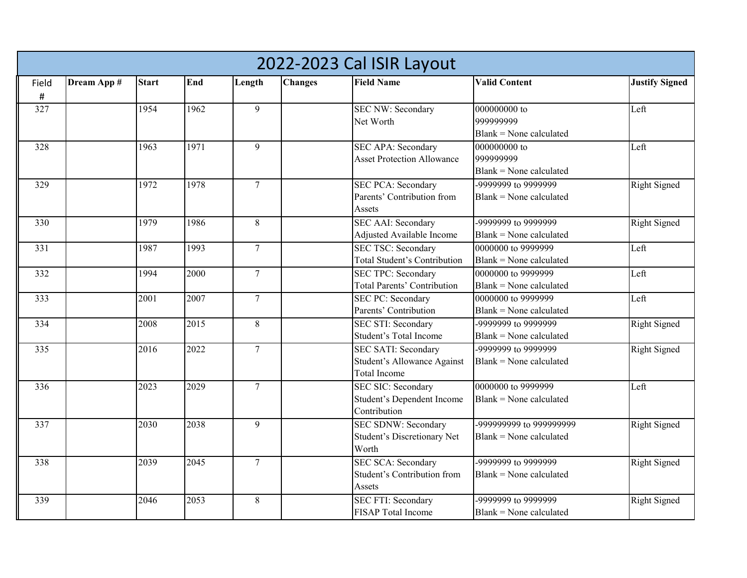|       | 2022-2023 Cal ISIR Layout |              |      |                 |                |                                                          |                                                 |                       |  |  |  |  |
|-------|---------------------------|--------------|------|-----------------|----------------|----------------------------------------------------------|-------------------------------------------------|-----------------------|--|--|--|--|
| Field | Dream App #               | <b>Start</b> | End  | Length          | <b>Changes</b> | <b>Field Name</b>                                        | <b>Valid Content</b>                            | <b>Justify Signed</b> |  |  |  |  |
| $\#$  |                           |              |      |                 |                |                                                          |                                                 |                       |  |  |  |  |
| 327   |                           | 1954         | 1962 | 9               |                | <b>SEC NW: Secondary</b>                                 | 000000000 to                                    | Left                  |  |  |  |  |
|       |                           |              |      |                 |                | Net Worth                                                | 999999999                                       |                       |  |  |  |  |
|       |                           |              |      |                 |                |                                                          | $Blank = None calculated$                       |                       |  |  |  |  |
| 328   |                           | 1963         | 1971 | 9               |                | <b>SEC APA: Secondary</b>                                | 000000000 to                                    | Left                  |  |  |  |  |
|       |                           |              |      |                 |                | <b>Asset Protection Allowance</b>                        | 999999999                                       |                       |  |  |  |  |
|       |                           |              |      |                 |                |                                                          | $Blank = None calculated$                       |                       |  |  |  |  |
| 329   |                           | 1972         | 1978 | $7\phantom{.0}$ |                | <b>SEC PCA: Secondary</b>                                | -9999999 to 9999999                             | <b>Right Signed</b>   |  |  |  |  |
|       |                           |              |      |                 |                | Parents' Contribution from                               | $Blank = None calculated$                       |                       |  |  |  |  |
|       |                           |              |      |                 |                | Assets                                                   |                                                 |                       |  |  |  |  |
| 330   |                           | 1979         | 1986 | 8               |                | <b>SEC AAI: Secondary</b>                                | -9999999 to 9999999                             | <b>Right Signed</b>   |  |  |  |  |
|       |                           |              |      |                 |                | Adjusted Available Income                                | $Blank = None calculated$                       |                       |  |  |  |  |
| 331   |                           | 1987         | 1993 | $7\phantom{.0}$ |                | <b>SEC TSC: Secondary</b>                                | 0000000 to 9999999                              | Left                  |  |  |  |  |
|       |                           |              |      |                 |                | Total Student's Contribution                             | $Blank = None calculated$                       |                       |  |  |  |  |
| 332   |                           | 1994         | 2000 | $7\phantom{.0}$ |                | <b>SEC TPC: Secondary</b><br>Total Parents' Contribution | 0000000 to 9999999<br>$Blank = None calculated$ | Left                  |  |  |  |  |
| 333   |                           | 2001         | 2007 | $\overline{7}$  |                |                                                          | 0000000 to 9999999                              | Left                  |  |  |  |  |
|       |                           |              |      |                 |                | <b>SEC PC: Secondary</b><br>Parents' Contribution        | $Blank = None$ calculated                       |                       |  |  |  |  |
| 334   |                           | 2008         | 2015 | 8               |                | <b>SEC STI: Secondary</b>                                | -9999999 to 9999999                             | <b>Right Signed</b>   |  |  |  |  |
|       |                           |              |      |                 |                | Student's Total Income                                   | $Blank = None$ calculated                       |                       |  |  |  |  |
| 335   |                           | 2016         | 2022 | $\tau$          |                | <b>SEC SATI: Secondary</b>                               | -9999999 to 9999999                             | <b>Right Signed</b>   |  |  |  |  |
|       |                           |              |      |                 |                | Student's Allowance Against                              | $Blank = None calculated$                       |                       |  |  |  |  |
|       |                           |              |      |                 |                | <b>Total Income</b>                                      |                                                 |                       |  |  |  |  |
| 336   |                           | 2023         | 2029 | $\tau$          |                | <b>SEC SIC: Secondary</b>                                | 0000000 to 9999999                              | Left                  |  |  |  |  |
|       |                           |              |      |                 |                | Student's Dependent Income                               | $Blank = None calculated$                       |                       |  |  |  |  |
|       |                           |              |      |                 |                | Contribution                                             |                                                 |                       |  |  |  |  |
| 337   |                           | 2030         | 2038 | 9               |                | <b>SEC SDNW: Secondary</b>                               | -999999999 to 999999999                         | <b>Right Signed</b>   |  |  |  |  |
|       |                           |              |      |                 |                | Student's Discretionary Net                              | Blank = None calculated                         |                       |  |  |  |  |
|       |                           |              |      |                 |                | Worth                                                    |                                                 |                       |  |  |  |  |
| 338   |                           | 2039         | 2045 | $\tau$          |                | <b>SEC SCA: Secondary</b>                                | 9999999 to 9999999                              | <b>Right Signed</b>   |  |  |  |  |
|       |                           |              |      |                 |                | Student's Contribution from                              | $Blank = None calculated$                       |                       |  |  |  |  |
|       |                           |              |      |                 |                | Assets                                                   |                                                 |                       |  |  |  |  |
| 339   |                           | 2046         | 2053 | $8\,$           |                | <b>SEC FTI: Secondary</b>                                | -9999999 to 9999999                             | <b>Right Signed</b>   |  |  |  |  |
|       |                           |              |      |                 |                | <b>FISAP</b> Total Income                                | $Blank = None$ calculated                       |                       |  |  |  |  |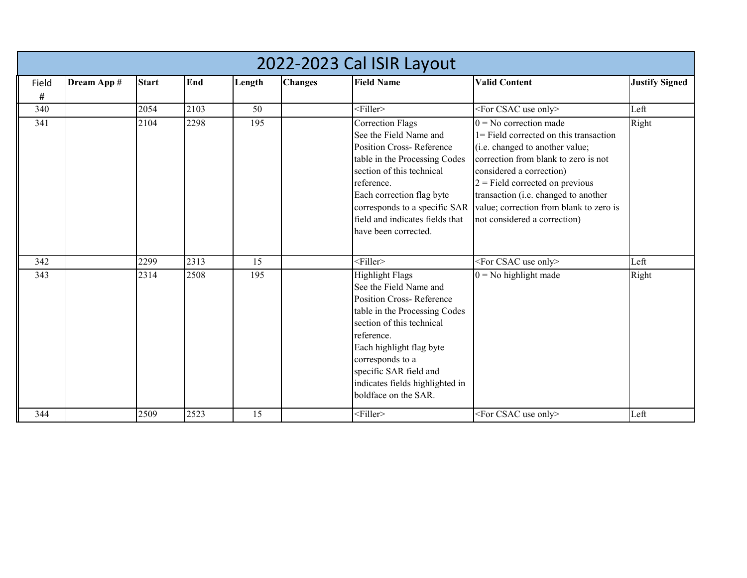|       | 2022-2023 Cal ISIR Layout |              |      |        |                |                                                                                                                                                                                                                                                                                                      |                                                                                                                                                                                                                                                                                                                                   |                       |  |  |  |  |  |  |
|-------|---------------------------|--------------|------|--------|----------------|------------------------------------------------------------------------------------------------------------------------------------------------------------------------------------------------------------------------------------------------------------------------------------------------------|-----------------------------------------------------------------------------------------------------------------------------------------------------------------------------------------------------------------------------------------------------------------------------------------------------------------------------------|-----------------------|--|--|--|--|--|--|
| Field | Dream App #               | <b>Start</b> | End  | Length | <b>Changes</b> | <b>Field Name</b>                                                                                                                                                                                                                                                                                    | <b>Valid Content</b>                                                                                                                                                                                                                                                                                                              | <b>Justify Signed</b> |  |  |  |  |  |  |
| #     |                           |              |      |        |                |                                                                                                                                                                                                                                                                                                      |                                                                                                                                                                                                                                                                                                                                   |                       |  |  |  |  |  |  |
| 340   |                           | 2054         | 2103 | 50     |                | $<$ Filler $>$                                                                                                                                                                                                                                                                                       | <for csac="" only="" use=""></for>                                                                                                                                                                                                                                                                                                | Left                  |  |  |  |  |  |  |
| 341   |                           | 2104         | 2298 | 195    |                | <b>Correction Flags</b><br>See the Field Name and<br><b>Position Cross-Reference</b><br>table in the Processing Codes<br>section of this technical<br>reference.<br>Each correction flag byte<br>corresponds to a specific SAR<br>field and indicates fields that<br>have been corrected.            | $0 = No$ correction made<br>1= Field corrected on this transaction<br>(i.e. changed to another value;<br>correction from blank to zero is not<br>considered a correction)<br>$2$ = Field corrected on previous<br>transaction (i.e. changed to another<br>value; correction from blank to zero is<br>not considered a correction) | Right                 |  |  |  |  |  |  |
| 342   |                           | 2299         | 2313 | 15     |                | $\leq$ Filler>                                                                                                                                                                                                                                                                                       | <for csac="" only="" use=""></for>                                                                                                                                                                                                                                                                                                | Left                  |  |  |  |  |  |  |
| 343   |                           | 2314         | 2508 | 195    |                | <b>Highlight Flags</b><br>See the Field Name and<br><b>Position Cross-Reference</b><br>table in the Processing Codes<br>section of this technical<br>reference.<br>Each highlight flag byte<br>corresponds to a<br>specific SAR field and<br>indicates fields highlighted in<br>boldface on the SAR. | $0 =$ No highlight made                                                                                                                                                                                                                                                                                                           | Right                 |  |  |  |  |  |  |
| 344   |                           | 2509         | 2523 | 15     |                | <filler></filler>                                                                                                                                                                                                                                                                                    | <for csac="" only="" use=""></for>                                                                                                                                                                                                                                                                                                | Left                  |  |  |  |  |  |  |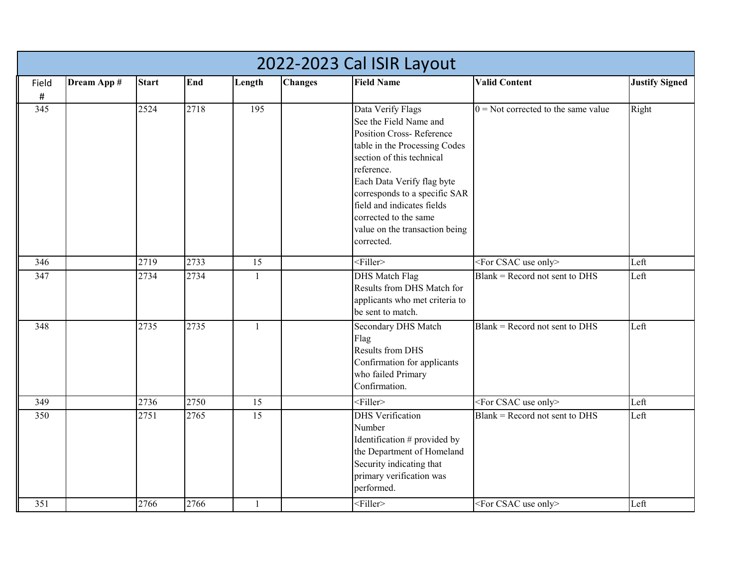|       | 2022-2023 Cal ISIR Layout |              |      |              |                |                                                                                                                                                                                                                                                                                                                                  |                                       |                       |  |  |  |  |  |
|-------|---------------------------|--------------|------|--------------|----------------|----------------------------------------------------------------------------------------------------------------------------------------------------------------------------------------------------------------------------------------------------------------------------------------------------------------------------------|---------------------------------------|-----------------------|--|--|--|--|--|
| Field | Dream App #               | <b>Start</b> | End  | Length       | <b>Changes</b> | <b>Field Name</b>                                                                                                                                                                                                                                                                                                                | <b>Valid Content</b>                  | <b>Justify Signed</b> |  |  |  |  |  |
| $\#$  |                           |              |      |              |                |                                                                                                                                                                                                                                                                                                                                  |                                       |                       |  |  |  |  |  |
| 345   |                           | 2524         | 2718 | 195          |                | Data Verify Flags<br>See the Field Name and<br><b>Position Cross-Reference</b><br>table in the Processing Codes<br>section of this technical<br>reference.<br>Each Data Verify flag byte<br>corresponds to a specific SAR<br>field and indicates fields<br>corrected to the same<br>value on the transaction being<br>corrected. | $0 =$ Not corrected to the same value | Right                 |  |  |  |  |  |
| 346   |                           | 2719         | 2733 | 15           |                | $<$ Filler>                                                                                                                                                                                                                                                                                                                      | <for csac="" only="" use=""></for>    | Left                  |  |  |  |  |  |
| 347   |                           | 2734         | 2734 | $\mathbf{1}$ |                | <b>DHS</b> Match Flag<br>Results from DHS Match for<br>applicants who met criteria to<br>be sent to match.                                                                                                                                                                                                                       | $Blank = Record$ not sent to DHS      | Left                  |  |  |  |  |  |
| 348   |                           | 2735         | 2735 | $\mathbf{1}$ |                | Secondary DHS Match<br>Flag<br>Results from DHS<br>Confirmation for applicants<br>who failed Primary<br>Confirmation.                                                                                                                                                                                                            | $Blank = Record$ not sent to DHS      | Left                  |  |  |  |  |  |
| 349   |                           | 2736         | 2750 | 15           |                | $<$ Filler>                                                                                                                                                                                                                                                                                                                      | <for csac="" only="" use=""></for>    | Left                  |  |  |  |  |  |
| 350   |                           | 2751         | 2765 | 15           |                | <b>DHS</b> Verification<br>Number<br>Identification # provided by<br>the Department of Homeland<br>Security indicating that<br>primary verification was<br>performed.                                                                                                                                                            | $Blank = Record$ not sent to DHS      | Left                  |  |  |  |  |  |
| 351   |                           | 2766         | 2766 | $\mathbf{1}$ |                | $<$ Filler>                                                                                                                                                                                                                                                                                                                      | <for csac="" only="" use=""></for>    | Left                  |  |  |  |  |  |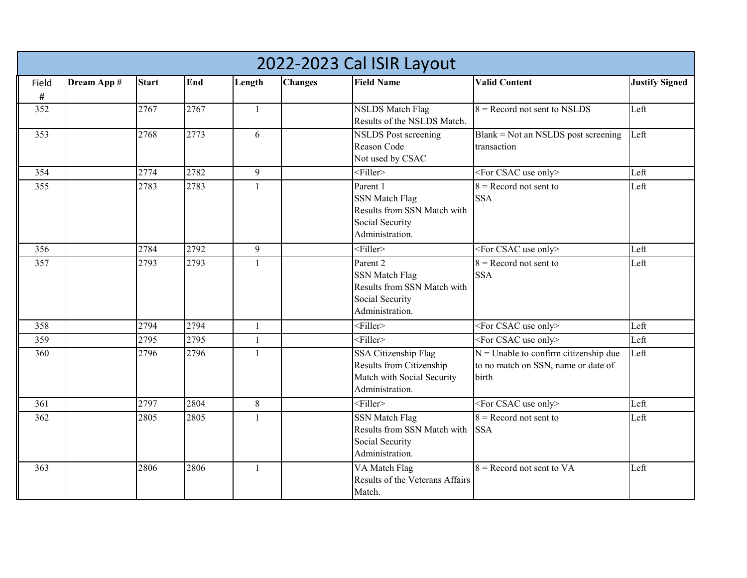|            | 2022-2023 Cal ISIR Layout |              |      |              |                |                                                                                                        |                                                                                         |                       |  |  |  |  |
|------------|---------------------------|--------------|------|--------------|----------------|--------------------------------------------------------------------------------------------------------|-----------------------------------------------------------------------------------------|-----------------------|--|--|--|--|
| Field<br># | Dream App #               | <b>Start</b> | End  | Length       | <b>Changes</b> | <b>Field Name</b>                                                                                      | <b>Valid Content</b>                                                                    | <b>Justify Signed</b> |  |  |  |  |
| 352        |                           | 2767         | 2767 | $\mathbf{1}$ |                | <b>NSLDS</b> Match Flag<br>Results of the NSLDS Match.                                                 | $8 =$ Record not sent to NSLDS                                                          | Left                  |  |  |  |  |
| 353        |                           | 2768         | 2773 | 6            |                | <b>NSLDS</b> Post screening<br>Reason Code<br>Not used by CSAC                                         | Blank = Not an NSLDS post screening<br>transaction                                      | Left                  |  |  |  |  |
| 354        |                           | 2774         | 2782 | 9            |                | $\leq$ Filler>                                                                                         | <for csac="" only="" use=""></for>                                                      | Left                  |  |  |  |  |
| 355        |                           | 2783         | 2783 | $\mathbf{1}$ |                | Parent 1<br><b>SSN Match Flag</b><br>Results from SSN Match with<br>Social Security<br>Administration. | $8$ = Record not sent to<br><b>SSA</b>                                                  | Left                  |  |  |  |  |
| 356        |                           | 2784         | 2792 | 9            |                | $\leq$ Filler>                                                                                         | $\sqrt{\sqrt{F}}$ CSAC use only>                                                        | Left                  |  |  |  |  |
| 357        |                           | 2793         | 2793 | $\mathbf{1}$ |                | Parent 2<br><b>SSN Match Flag</b><br>Results from SSN Match with<br>Social Security<br>Administration. | $8 =$ Record not sent to<br><b>SSA</b>                                                  | Left                  |  |  |  |  |
| 358        |                           | 2794         | 2794 | $\mathbf{1}$ |                | $<$ Filler>                                                                                            | $\overline{\text{For CSAC}}$ use only>                                                  | Left                  |  |  |  |  |
| 359        |                           | 2795         | 2795 | $\mathbf{1}$ |                | $<$ Filler>                                                                                            | <for csac="" only="" use=""></for>                                                      | Left                  |  |  |  |  |
| 360        |                           | 2796         | 2796 | $\mathbf{1}$ |                | SSA Citizenship Flag<br>Results from Citizenship<br>Match with Social Security<br>Administration.      | $N =$ Unable to confirm citizenship due<br>to no match on SSN, name or date of<br>birth | Left                  |  |  |  |  |
| 361        |                           | 2797         | 2804 | $8\,$        |                | $\leq$ Filler>                                                                                         | <for csac="" only="" use=""></for>                                                      | Left                  |  |  |  |  |
| 362        |                           | 2805         | 2805 | 1            |                | <b>SSN Match Flag</b><br>Results from SSN Match with<br>Social Security<br>Administration.             | $8 =$ Record not sent to<br><b>SSA</b>                                                  | Left                  |  |  |  |  |
| 363        |                           | 2806         | 2806 | $\mathbf{1}$ |                | VA Match Flag<br>Results of the Veterans Affairs<br>Match.                                             | $8 =$ Record not sent to VA                                                             | Left                  |  |  |  |  |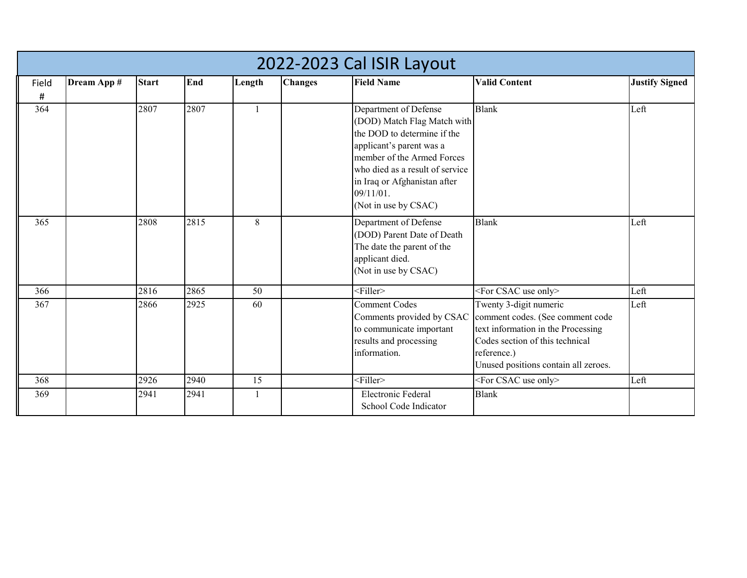|            | 2022-2023 Cal ISIR Layout |              |      |        |                |                                                                                                                                                                                                                                                       |                                                                                                                                                                                            |                       |  |  |  |  |  |
|------------|---------------------------|--------------|------|--------|----------------|-------------------------------------------------------------------------------------------------------------------------------------------------------------------------------------------------------------------------------------------------------|--------------------------------------------------------------------------------------------------------------------------------------------------------------------------------------------|-----------------------|--|--|--|--|--|
| Field<br># | Dream App #               | <b>Start</b> | End  | Length | <b>Changes</b> | <b>Field Name</b>                                                                                                                                                                                                                                     | <b>Valid Content</b>                                                                                                                                                                       | <b>Justify Signed</b> |  |  |  |  |  |
| 364        |                           | 2807         | 2807 | -1     |                | Department of Defense<br>(DOD) Match Flag Match with<br>the DOD to determine if the<br>applicant's parent was a<br>member of the Armed Forces<br>who died as a result of service<br>in Iraq or Afghanistan after<br>09/11/01.<br>(Not in use by CSAC) | <b>Blank</b>                                                                                                                                                                               | Left                  |  |  |  |  |  |
| 365        |                           | 2808         | 2815 | 8      |                | Department of Defense<br>(DOD) Parent Date of Death<br>The date the parent of the<br>applicant died.<br>(Not in use by CSAC)                                                                                                                          | <b>Blank</b>                                                                                                                                                                               | Left                  |  |  |  |  |  |
| 366        |                           | 2816         | 2865 | 50     |                | $<$ Filler>                                                                                                                                                                                                                                           | <for csac="" only="" use=""></for>                                                                                                                                                         | Left                  |  |  |  |  |  |
| 367        |                           | 2866         | 2925 | 60     |                | <b>Comment Codes</b><br>Comments provided by CSAC<br>to communicate important<br>results and processing<br>information.                                                                                                                               | Twenty 3-digit numeric<br>comment codes. (See comment code<br>text information in the Processing<br>Codes section of this technical<br>reference.)<br>Unused positions contain all zeroes. | Left                  |  |  |  |  |  |
| 368        |                           | 2926         | 2940 | 15     |                | <filler></filler>                                                                                                                                                                                                                                     | <for csac="" only="" use=""></for>                                                                                                                                                         | Left                  |  |  |  |  |  |
| 369        |                           | 2941         | 2941 | 1      |                | <b>Electronic Federal</b><br>School Code Indicator                                                                                                                                                                                                    | <b>Blank</b>                                                                                                                                                                               |                       |  |  |  |  |  |